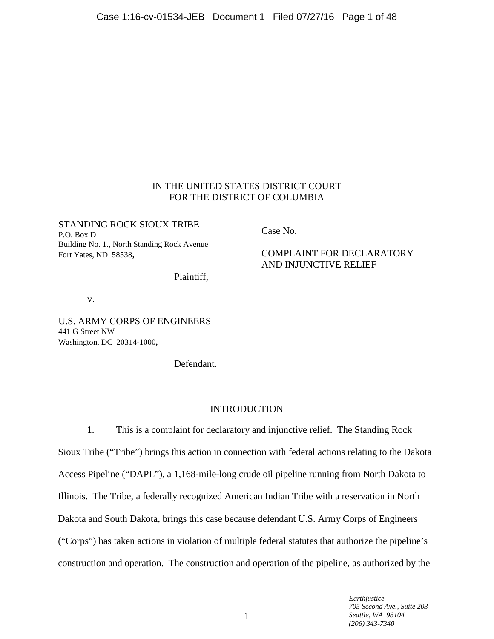# IN THE UNITED STATES DISTRICT COURT FOR THE DISTRICT OF COLUMBIA

STANDING ROCK SIOUX TRIBE P.O. Box D Building No. 1., North Standing Rock Avenue Fort Yates, ND 58538,

Plaintiff,

v.

U.S. ARMY CORPS OF ENGINEERS 441 G Street NW Washington, DC 20314-1000,

Defendant.

Case No.

COMPLAINT FOR DECLARATORY AND INJUNCTIVE RELIEF

# **INTRODUCTION**

1. This is a complaint for declaratory and injunctive relief. The Standing Rock Sioux Tribe ("Tribe") brings this action in connection with federal actions relating to the Dakota Access Pipeline ("DAPL"), a 1,168-mile-long crude oil pipeline running from North Dakota to Illinois. The Tribe, a federally recognized American Indian Tribe with a reservation in North Dakota and South Dakota, brings this case because defendant U.S. Army Corps of Engineers ("Corps") has taken actions in violation of multiple federal statutes that authorize the pipeline's construction and operation. The construction and operation of the pipeline, as authorized by the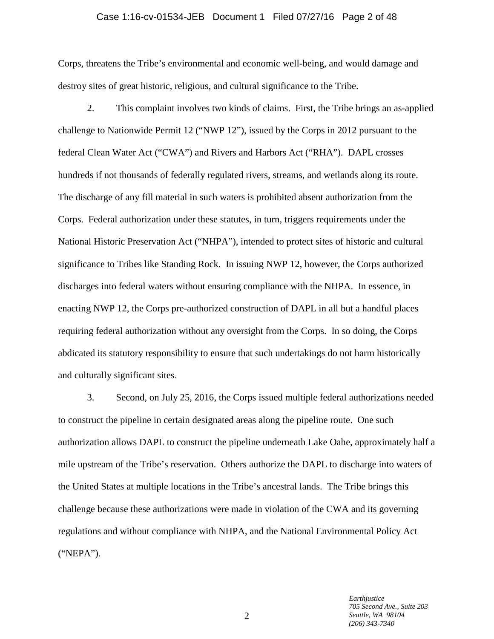# Case 1:16-cv-01534-JEB Document 1 Filed 07/27/16 Page 2 of 48

Corps, threatens the Tribe's environmental and economic well-being, and would damage and destroy sites of great historic, religious, and cultural significance to the Tribe.

2. This complaint involves two kinds of claims. First, the Tribe brings an as-applied challenge to Nationwide Permit 12 ("NWP 12"), issued by the Corps in 2012 pursuant to the federal Clean Water Act ("CWA") and Rivers and Harbors Act ("RHA"). DAPL crosses hundreds if not thousands of federally regulated rivers, streams, and wetlands along its route. The discharge of any fill material in such waters is prohibited absent authorization from the Corps. Federal authorization under these statutes, in turn, triggers requirements under the National Historic Preservation Act ("NHPA"), intended to protect sites of historic and cultural significance to Tribes like Standing Rock. In issuing NWP 12, however, the Corps authorized discharges into federal waters without ensuring compliance with the NHPA. In essence, in enacting NWP 12, the Corps pre-authorized construction of DAPL in all but a handful places requiring federal authorization without any oversight from the Corps. In so doing, the Corps abdicated its statutory responsibility to ensure that such undertakings do not harm historically and culturally significant sites.

3. Second, on July 25, 2016, the Corps issued multiple federal authorizations needed to construct the pipeline in certain designated areas along the pipeline route. One such authorization allows DAPL to construct the pipeline underneath Lake Oahe, approximately half a mile upstream of the Tribe's reservation. Others authorize the DAPL to discharge into waters of the United States at multiple locations in the Tribe's ancestral lands. The Tribe brings this challenge because these authorizations were made in violation of the CWA and its governing regulations and without compliance with NHPA, and the National Environmental Policy Act ("NEPA").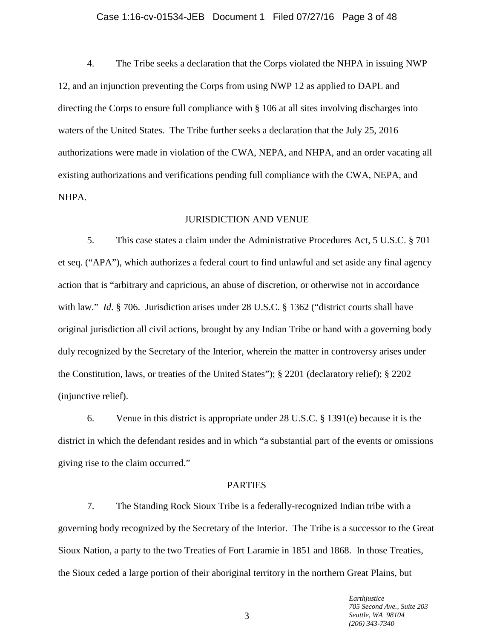#### Case 1:16-cv-01534-JEB Document 1 Filed 07/27/16 Page 3 of 48

4. The Tribe seeks a declaration that the Corps violated the NHPA in issuing NWP 12, and an injunction preventing the Corps from using NWP 12 as applied to DAPL and directing the Corps to ensure full compliance with § 106 at all sites involving discharges into waters of the United States. The Tribe further seeks a declaration that the July 25, 2016 authorizations were made in violation of the CWA, NEPA, and NHPA, and an order vacating all existing authorizations and verifications pending full compliance with the CWA, NEPA, and NHPA.

#### JURISDICTION AND VENUE

5. This case states a claim under the Administrative Procedures Act, 5 U.S.C. § 701 et seq. ("APA"), which authorizes a federal court to find unlawful and set aside any final agency action that is "arbitrary and capricious, an abuse of discretion, or otherwise not in accordance with law." *Id.* § 706. Jurisdiction arises under 28 U.S.C. § 1362 ("district courts shall have original jurisdiction all civil actions, brought by any Indian Tribe or band with a governing body duly recognized by the Secretary of the Interior, wherein the matter in controversy arises under the Constitution, laws, or treaties of the United States"); § 2201 (declaratory relief); § 2202 (injunctive relief).

6. Venue in this district is appropriate under 28 U.S.C. § 1391(e) because it is the district in which the defendant resides and in which "a substantial part of the events or omissions giving rise to the claim occurred."

# PARTIES

7. The Standing Rock Sioux Tribe is a federally-recognized Indian tribe with a governing body recognized by the Secretary of the Interior. The Tribe is a successor to the Great Sioux Nation, a party to the two Treaties of Fort Laramie in 1851 and 1868. In those Treaties, the Sioux ceded a large portion of their aboriginal territory in the northern Great Plains, but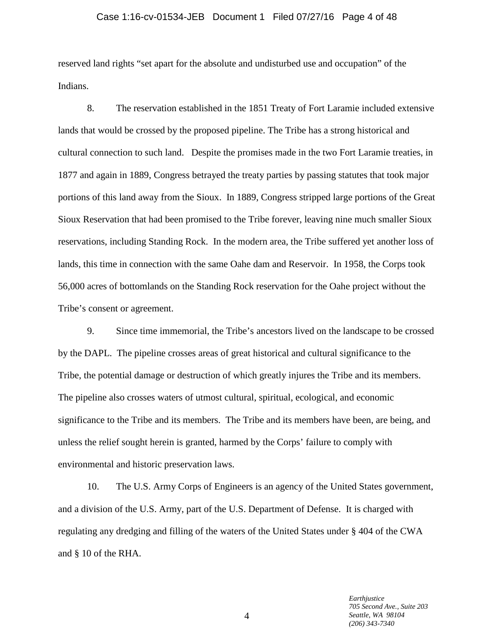#### Case 1:16-cv-01534-JEB Document 1 Filed 07/27/16 Page 4 of 48

reserved land rights "set apart for the absolute and undisturbed use and occupation" of the Indians.

8. The reservation established in the 1851 Treaty of Fort Laramie included extensive lands that would be crossed by the proposed pipeline. The Tribe has a strong historical and cultural connection to such land. Despite the promises made in the two Fort Laramie treaties, in 1877 and again in 1889, Congress betrayed the treaty parties by passing statutes that took major portions of this land away from the Sioux. In 1889, Congress stripped large portions of the Great Sioux Reservation that had been promised to the Tribe forever, leaving nine much smaller Sioux reservations, including Standing Rock. In the modern area, the Tribe suffered yet another loss of lands, this time in connection with the same Oahe dam and Reservoir. In 1958, the Corps took 56,000 acres of bottomlands on the Standing Rock reservation for the Oahe project without the Tribe's consent or agreement.

9. Since time immemorial, the Tribe's ancestors lived on the landscape to be crossed by the DAPL. The pipeline crosses areas of great historical and cultural significance to the Tribe, the potential damage or destruction of which greatly injures the Tribe and its members. The pipeline also crosses waters of utmost cultural, spiritual, ecological, and economic significance to the Tribe and its members. The Tribe and its members have been, are being, and unless the relief sought herein is granted, harmed by the Corps' failure to comply with environmental and historic preservation laws.

10. The U.S. Army Corps of Engineers is an agency of the United States government, and a division of the U.S. Army, part of the U.S. Department of Defense. It is charged with regulating any dredging and filling of the waters of the United States under § 404 of the CWA and § 10 of the RHA.

> *Earthjustice 705 Second Ave., Suite 203 Seattle, WA 98104 (206) 343-7340*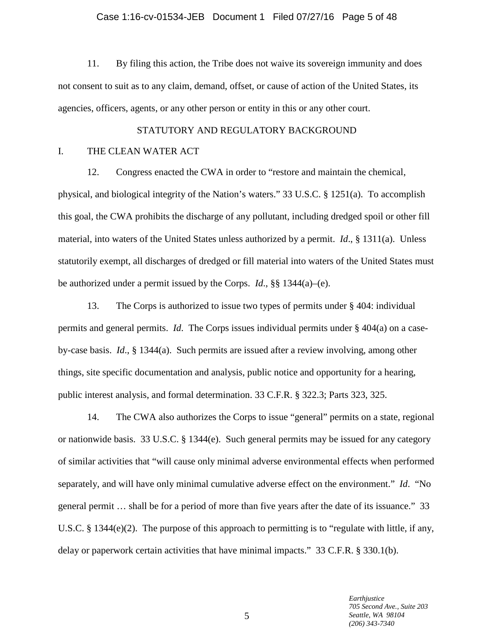#### Case 1:16-cv-01534-JEB Document 1 Filed 07/27/16 Page 5 of 48

11. By filing this action, the Tribe does not waive its sovereign immunity and does not consent to suit as to any claim, demand, offset, or cause of action of the United States, its agencies, officers, agents, or any other person or entity in this or any other court.

#### STATUTORY AND REGULATORY BACKGROUND

#### I. THE CLEAN WATER ACT

12. Congress enacted the CWA in order to "restore and maintain the chemical, physical, and biological integrity of the Nation's waters." 33 U.S.C. § 1251(a). To accomplish this goal, the CWA prohibits the discharge of any pollutant, including dredged spoil or other fill material, into waters of the United States unless authorized by a permit. *Id*., § 1311(a). Unless statutorily exempt, all discharges of dredged or fill material into waters of the United States must be authorized under a permit issued by the Corps. *Id*., §§ 1344(a)–(e).

13. The Corps is authorized to issue two types of permits under § 404: individual permits and general permits. *Id*. The Corps issues individual permits under § 404(a) on a caseby-case basis. *Id*., § 1344(a). Such permits are issued after a review involving, among other things, site specific documentation and analysis, public notice and opportunity for a hearing, public interest analysis, and formal determination. 33 C.F.R. § 322.3; Parts 323, 325.

14. The CWA also authorizes the Corps to issue "general" permits on a state, regional or nationwide basis. 33 U.S.C. § 1344(e). Such general permits may be issued for any category of similar activities that "will cause only minimal adverse environmental effects when performed separately, and will have only minimal cumulative adverse effect on the environment." *Id*. "No general permit … shall be for a period of more than five years after the date of its issuance." 33 U.S.C. § 1344(e)(2). The purpose of this approach to permitting is to "regulate with little, if any, delay or paperwork certain activities that have minimal impacts." 33 C.F.R. § 330.1(b).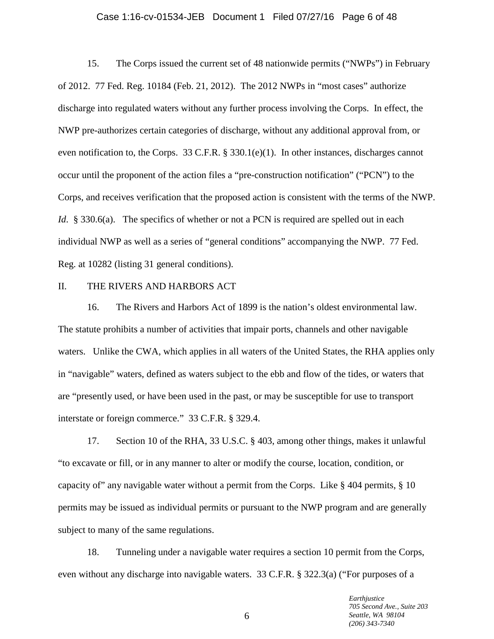#### Case 1:16-cv-01534-JEB Document 1 Filed 07/27/16 Page 6 of 48

15. The Corps issued the current set of 48 nationwide permits ("NWPs") in February of 2012. 77 Fed. Reg. 10184 (Feb. 21, 2012). The 2012 NWPs in "most cases" authorize discharge into regulated waters without any further process involving the Corps. In effect, the NWP pre-authorizes certain categories of discharge, without any additional approval from, or even notification to, the Corps. 33 C.F.R. § 330.1(e)(1). In other instances, discharges cannot occur until the proponent of the action files a "pre-construction notification" ("PCN") to the Corps, and receives verification that the proposed action is consistent with the terms of the NWP. *Id.* § 330.6(a). The specifics of whether or not a PCN is required are spelled out in each individual NWP as well as a series of "general conditions" accompanying the NWP. 77 Fed. Reg. at 10282 (listing 31 general conditions).

#### II. THE RIVERS AND HARBORS ACT

16. The Rivers and Harbors Act of 1899 is the nation's oldest environmental law. The statute prohibits a number of activities that impair ports, channels and other navigable waters. Unlike the CWA, which applies in all waters of the United States, the RHA applies only in "navigable" waters, defined as waters subject to the ebb and flow of the tides, or waters that are "presently used, or have been used in the past, or may be susceptible for use to transport interstate or foreign commerce." 33 C.F.R. § 329.4.

17. Section 10 of the RHA, 33 U.S.C. § 403, among other things, makes it unlawful "to excavate or fill, or in any manner to alter or modify the course, location, condition, or capacity of" any navigable water without a permit from the Corps. Like § 404 permits, § 10 permits may be issued as individual permits or pursuant to the NWP program and are generally subject to many of the same regulations.

18. Tunneling under a navigable water requires a section 10 permit from the Corps, even without any discharge into navigable waters. 33 C.F.R. § 322.3(a) ("For purposes of a

> *Earthjustice 705 Second Ave., Suite 203 Seattle, WA 98104 (206) 343-7340*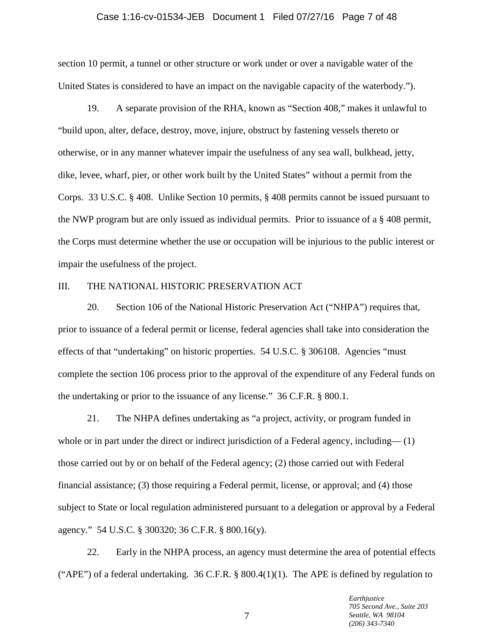#### Case 1:16-cv-01534-JEB Document 1 Filed 07/27/16 Page 7 of 48

section 10 permit, a tunnel or other structure or work under or over a navigable water of the United States is considered to have an impact on the navigable capacity of the waterbody.").

19. A separate provision of the RHA, known as "Section 408," makes it unlawful to "build upon, alter, deface, destroy, move, injure, obstruct by fastening vessels thereto or otherwise, or in any manner whatever impair the usefulness of any sea wall, bulkhead, jetty, dike, levee, wharf, pier, or other work built by the United States" without a permit from the Corps. 33 U.S.C. § 408. Unlike Section 10 permits, § 408 permits cannot be issued pursuant to the NWP program but are only issued as individual permits. Prior to issuance of a § 408 permit, the Corps must determine whether the use or occupation will be injurious to the public interest or impair the usefulness of the project.

# III. THE NATIONAL HISTORIC PRESERVATION ACT

20. Section 106 of the National Historic Preservation Act ("NHPA") requires that, prior to issuance of a federal permit or license, federal agencies shall take into consideration the effects of that "undertaking" on historic properties. 54 U.S.C. § 306108. Agencies "must complete the section 106 process prior to the approval of the expenditure of any Federal funds on the undertaking or prior to the issuance of any license." 36 C.F.R. § 800.1.

21. The NHPA defines undertaking as "a project, activity, or program funded in whole or in part under the direct or indirect jurisdiction of a Federal agency, including— (1) those carried out by or on behalf of the Federal agency; (2) those carried out with Federal financial assistance; (3) those requiring a Federal permit, license, or approval; and (4) those subject to State or local regulation administered pursuant to a delegation or approval by a Federal agency." 54 U.S.C. § 300320; 36 C.F.R. § 800.16(y).

22. Early in the NHPA process, an agency must determine the area of potential effects ("APE") of a federal undertaking. 36 C.F.R. § 800.4(1)(1). The APE is defined by regulation to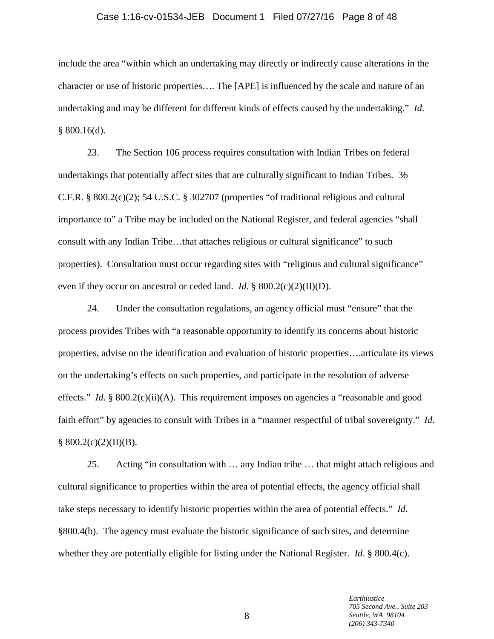#### Case 1:16-cv-01534-JEB Document 1 Filed 07/27/16 Page 8 of 48

include the area "within which an undertaking may directly or indirectly cause alterations in the character or use of historic properties…. The [APE] is influenced by the scale and nature of an undertaking and may be different for different kinds of effects caused by the undertaking." *Id*. § 800.16(d).

23. The Section 106 process requires consultation with Indian Tribes on federal undertakings that potentially affect sites that are culturally significant to Indian Tribes. 36 C.F.R. § 800.2(c)(2); 54 U.S.C. § 302707 (properties "of traditional religious and cultural importance to" a Tribe may be included on the National Register, and federal agencies "shall consult with any Indian Tribe…that attaches religious or cultural significance" to such properties). Consultation must occur regarding sites with "religious and cultural significance" even if they occur on ancestral or ceded land. *Id*. § 800.2(c)(2)(II)(D).

24. Under the consultation regulations, an agency official must "ensure" that the process provides Tribes with "a reasonable opportunity to identify its concerns about historic properties, advise on the identification and evaluation of historic properties….articulate its views on the undertaking's effects on such properties, and participate in the resolution of adverse effects." *Id.* § 800.2(c)(ii)(A). This requirement imposes on agencies a "reasonable and good faith effort" by agencies to consult with Tribes in a "manner respectful of tribal sovereignty." *Id*.  $§ 800.2(c)(2)(II)(B).$ 

25. Acting "in consultation with … any Indian tribe … that might attach religious and cultural significance to properties within the area of potential effects, the agency official shall take steps necessary to identify historic properties within the area of potential effects." *Id*. §800.4(b). The agency must evaluate the historic significance of such sites, and determine whether they are potentially eligible for listing under the National Register. *Id*. § 800.4(c).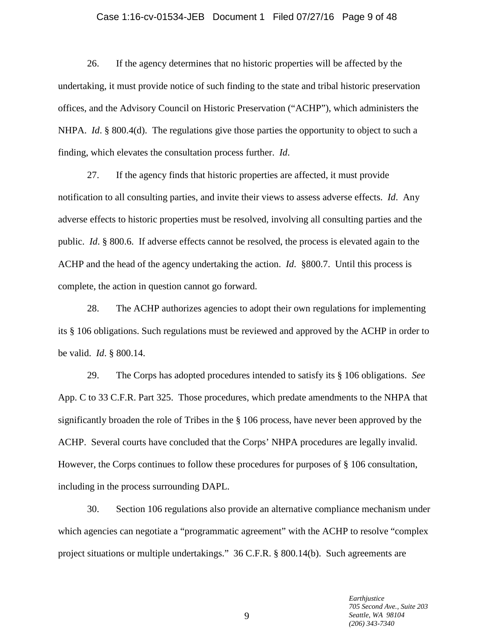# Case 1:16-cv-01534-JEB Document 1 Filed 07/27/16 Page 9 of 48

26. If the agency determines that no historic properties will be affected by the undertaking, it must provide notice of such finding to the state and tribal historic preservation offices, and the Advisory Council on Historic Preservation ("ACHP"), which administers the NHPA. *Id.* § 800.4(d). The regulations give those parties the opportunity to object to such a finding, which elevates the consultation process further. *Id*.

27. If the agency finds that historic properties are affected, it must provide notification to all consulting parties, and invite their views to assess adverse effects. *Id*. Any adverse effects to historic properties must be resolved, involving all consulting parties and the public. *Id*. § 800.6. If adverse effects cannot be resolved, the process is elevated again to the ACHP and the head of the agency undertaking the action. *Id*. §800.7. Until this process is complete, the action in question cannot go forward.

28. The ACHP authorizes agencies to adopt their own regulations for implementing its § 106 obligations. Such regulations must be reviewed and approved by the ACHP in order to be valid. *Id*. § 800.14.

29. The Corps has adopted procedures intended to satisfy its § 106 obligations. *See* App. C to 33 C.F.R. Part 325. Those procedures, which predate amendments to the NHPA that significantly broaden the role of Tribes in the § 106 process, have never been approved by the ACHP. Several courts have concluded that the Corps' NHPA procedures are legally invalid. However, the Corps continues to follow these procedures for purposes of § 106 consultation, including in the process surrounding DAPL.

30. Section 106 regulations also provide an alternative compliance mechanism under which agencies can negotiate a "programmatic agreement" with the ACHP to resolve "complex project situations or multiple undertakings." 36 C.F.R. § 800.14(b). Such agreements are

> *Earthjustice 705 Second Ave., Suite 203 Seattle, WA 98104 (206) 343-7340*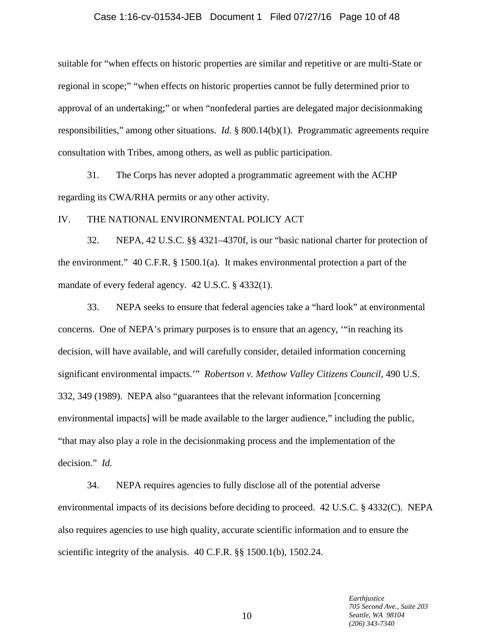#### Case 1:16-cv-01534-JEB Document 1 Filed 07/27/16 Page 10 of 48

suitable for "when effects on historic properties are similar and repetitive or are multi-State or regional in scope;" "when effects on historic properties cannot be fully determined prior to approval of an undertaking;" or when "nonfederal parties are delegated major decisionmaking responsibilities," among other situations. *Id*. § 800.14(b)(1). Programmatic agreements require consultation with Tribes, among others, as well as public participation.

31. The Corps has never adopted a programmatic agreement with the ACHP regarding its CWA/RHA permits or any other activity.

### IV. THE NATIONAL ENVIRONMENTAL POLICY ACT

32. NEPA, 42 U.S.C. §§ 4321–4370f, is our "basic national charter for protection of the environment." 40 C.F.R. § 1500.1(a). It makes environmental protection a part of the mandate of every federal agency. 42 U.S.C. § 4332(1).

33. NEPA seeks to ensure that federal agencies take a "hard look" at environmental concerns. One of NEPA's primary purposes is to ensure that an agency, '"in reaching its decision, will have available, and will carefully consider, detailed information concerning significant environmental impacts.'" *Robertson v. Methow Valley Citizens Council,* 490 U.S. 332, 349 (1989). NEPA also "guarantees that the relevant information [concerning environmental impacts] will be made available to the larger audience," including the public, "that may also play a role in the decisionmaking process and the implementation of the decision." *Id.*

34. NEPA requires agencies to fully disclose all of the potential adverse environmental impacts of its decisions before deciding to proceed. 42 U.S.C. § 4332(C). NEPA also requires agencies to use high quality, accurate scientific information and to ensure the scientific integrity of the analysis. 40 C.F.R. §§ 1500.1(b), 1502.24.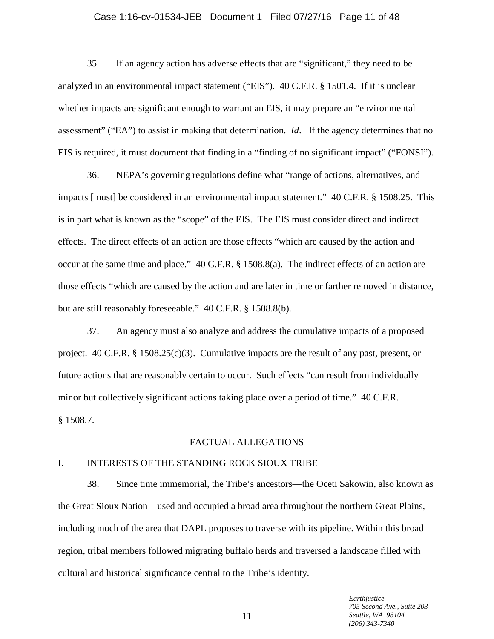# Case 1:16-cv-01534-JEB Document 1 Filed 07/27/16 Page 11 of 48

35. If an agency action has adverse effects that are "significant," they need to be analyzed in an environmental impact statement ("EIS"). 40 C.F.R. § 1501.4. If it is unclear whether impacts are significant enough to warrant an EIS, it may prepare an "environmental assessment" ("EA") to assist in making that determination. *Id*. If the agency determines that no EIS is required, it must document that finding in a "finding of no significant impact" ("FONSI").

36. NEPA's governing regulations define what "range of actions, alternatives, and impacts [must] be considered in an environmental impact statement." 40 C.F.R. § 1508.25. This is in part what is known as the "scope" of the EIS. The EIS must consider direct and indirect effects. The direct effects of an action are those effects "which are caused by the action and occur at the same time and place." 40 C.F.R. § 1508.8(a). The indirect effects of an action are those effects "which are caused by the action and are later in time or farther removed in distance, but are still reasonably foreseeable." 40 C.F.R. § 1508.8(b).

37. An agency must also analyze and address the cumulative impacts of a proposed project. 40 C.F.R. § 1508.25(c)(3). Cumulative impacts are the result of any past, present, or future actions that are reasonably certain to occur. Such effects "can result from individually minor but collectively significant actions taking place over a period of time." 40 C.F.R. § 1508.7.

#### FACTUAL ALLEGATIONS

# I. INTERESTS OF THE STANDING ROCK SIOUX TRIBE

38. Since time immemorial, the Tribe's ancestors—the Oceti Sakowin, also known as the Great Sioux Nation—used and occupied a broad area throughout the northern Great Plains, including much of the area that DAPL proposes to traverse with its pipeline. Within this broad region, tribal members followed migrating buffalo herds and traversed a landscape filled with cultural and historical significance central to the Tribe's identity.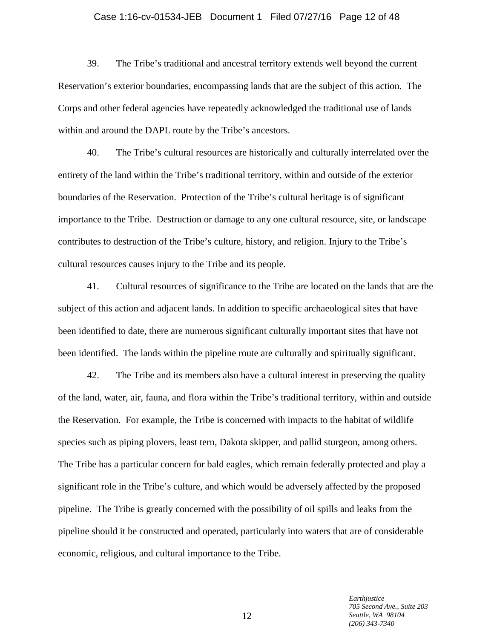# Case 1:16-cv-01534-JEB Document 1 Filed 07/27/16 Page 12 of 48

39. The Tribe's traditional and ancestral territory extends well beyond the current Reservation's exterior boundaries, encompassing lands that are the subject of this action. The Corps and other federal agencies have repeatedly acknowledged the traditional use of lands within and around the DAPL route by the Tribe's ancestors.

40. The Tribe's cultural resources are historically and culturally interrelated over the entirety of the land within the Tribe's traditional territory, within and outside of the exterior boundaries of the Reservation. Protection of the Tribe's cultural heritage is of significant importance to the Tribe. Destruction or damage to any one cultural resource, site, or landscape contributes to destruction of the Tribe's culture, history, and religion. Injury to the Tribe's cultural resources causes injury to the Tribe and its people.

41. Cultural resources of significance to the Tribe are located on the lands that are the subject of this action and adjacent lands. In addition to specific archaeological sites that have been identified to date, there are numerous significant culturally important sites that have not been identified. The lands within the pipeline route are culturally and spiritually significant.

42. The Tribe and its members also have a cultural interest in preserving the quality of the land, water, air, fauna, and flora within the Tribe's traditional territory, within and outside the Reservation. For example, the Tribe is concerned with impacts to the habitat of wildlife species such as piping plovers, least tern, Dakota skipper, and pallid sturgeon, among others. The Tribe has a particular concern for bald eagles, which remain federally protected and play a significant role in the Tribe's culture, and which would be adversely affected by the proposed pipeline. The Tribe is greatly concerned with the possibility of oil spills and leaks from the pipeline should it be constructed and operated, particularly into waters that are of considerable economic, religious, and cultural importance to the Tribe.

> *Earthjustice 705 Second Ave., Suite 203 Seattle, WA 98104 (206) 343-7340*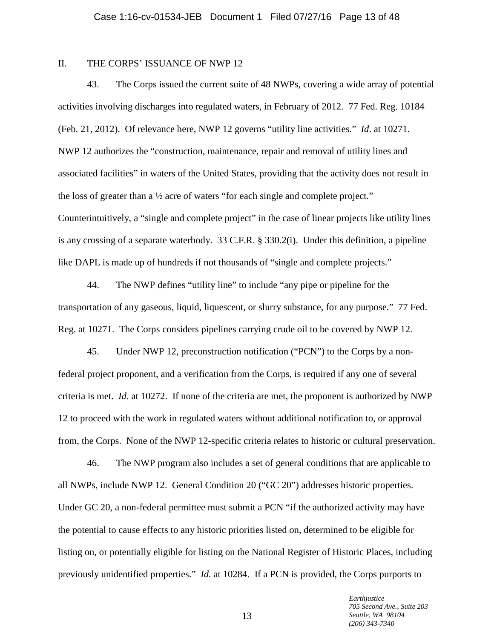# II. THE CORPS' ISSUANCE OF NWP 12

43. The Corps issued the current suite of 48 NWPs, covering a wide array of potential activities involving discharges into regulated waters, in February of 2012. 77 Fed. Reg. 10184 (Feb. 21, 2012). Of relevance here, NWP 12 governs "utility line activities." *Id*. at 10271. NWP 12 authorizes the "construction, maintenance, repair and removal of utility lines and associated facilities" in waters of the United States, providing that the activity does not result in the loss of greater than a ½ acre of waters "for each single and complete project." Counterintuitively, a "single and complete project" in the case of linear projects like utility lines is any crossing of a separate waterbody. 33 C.F.R. § 330.2(i). Under this definition, a pipeline like DAPL is made up of hundreds if not thousands of "single and complete projects."

44. The NWP defines "utility line" to include "any pipe or pipeline for the transportation of any gaseous, liquid, liquescent, or slurry substance, for any purpose." 77 Fed. Reg. at 10271. The Corps considers pipelines carrying crude oil to be covered by NWP 12.

45. Under NWP 12, preconstruction notification ("PCN") to the Corps by a nonfederal project proponent, and a verification from the Corps, is required if any one of several criteria is met. *Id*. at 10272. If none of the criteria are met, the proponent is authorized by NWP 12 to proceed with the work in regulated waters without additional notification to, or approval from, the Corps. None of the NWP 12-specific criteria relates to historic or cultural preservation.

46. The NWP program also includes a set of general conditions that are applicable to all NWPs, include NWP 12. General Condition 20 ("GC 20") addresses historic properties. Under GC 20, a non-federal permittee must submit a PCN "if the authorized activity may have the potential to cause effects to any historic priorities listed on, determined to be eligible for listing on, or potentially eligible for listing on the National Register of Historic Places, including previously unidentified properties." *Id*. at 10284. If a PCN is provided, the Corps purports to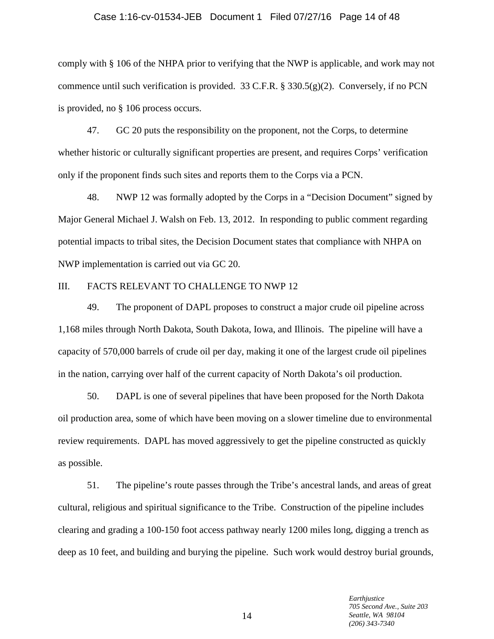#### Case 1:16-cv-01534-JEB Document 1 Filed 07/27/16 Page 14 of 48

comply with § 106 of the NHPA prior to verifying that the NWP is applicable, and work may not commence until such verification is provided. 33 C.F.R. § 330.5(g)(2). Conversely, if no PCN is provided, no § 106 process occurs.

47. GC 20 puts the responsibility on the proponent, not the Corps, to determine whether historic or culturally significant properties are present, and requires Corps' verification only if the proponent finds such sites and reports them to the Corps via a PCN.

48. NWP 12 was formally adopted by the Corps in a "Decision Document" signed by Major General Michael J. Walsh on Feb. 13, 2012. In responding to public comment regarding potential impacts to tribal sites, the Decision Document states that compliance with NHPA on NWP implementation is carried out via GC 20.

#### III. FACTS RELEVANT TO CHALLENGE TO NWP 12

49. The proponent of DAPL proposes to construct a major crude oil pipeline across 1,168 miles through North Dakota, South Dakota, Iowa, and Illinois. The pipeline will have a capacity of 570,000 barrels of crude oil per day, making it one of the largest crude oil pipelines in the nation, carrying over half of the current capacity of North Dakota's oil production.

50. DAPL is one of several pipelines that have been proposed for the North Dakota oil production area, some of which have been moving on a slower timeline due to environmental review requirements. DAPL has moved aggressively to get the pipeline constructed as quickly as possible.

51. The pipeline's route passes through the Tribe's ancestral lands, and areas of great cultural, religious and spiritual significance to the Tribe. Construction of the pipeline includes clearing and grading a 100-150 foot access pathway nearly 1200 miles long, digging a trench as deep as 10 feet, and building and burying the pipeline. Such work would destroy burial grounds,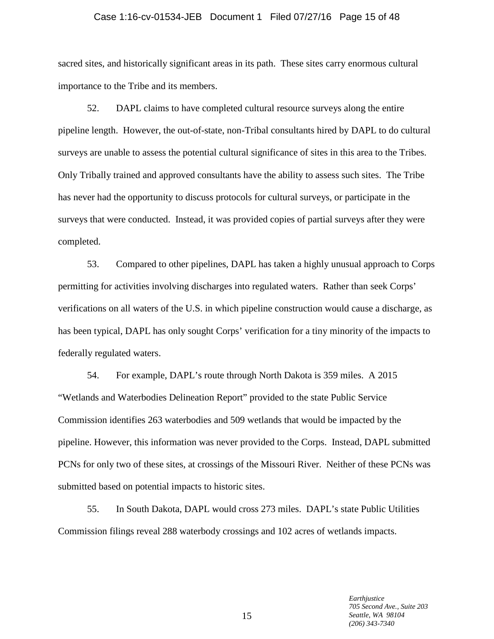#### Case 1:16-cv-01534-JEB Document 1 Filed 07/27/16 Page 15 of 48

sacred sites, and historically significant areas in its path. These sites carry enormous cultural importance to the Tribe and its members.

52. DAPL claims to have completed cultural resource surveys along the entire pipeline length. However, the out-of-state, non-Tribal consultants hired by DAPL to do cultural surveys are unable to assess the potential cultural significance of sites in this area to the Tribes. Only Tribally trained and approved consultants have the ability to assess such sites. The Tribe has never had the opportunity to discuss protocols for cultural surveys, or participate in the surveys that were conducted. Instead, it was provided copies of partial surveys after they were completed.

53. Compared to other pipelines, DAPL has taken a highly unusual approach to Corps permitting for activities involving discharges into regulated waters. Rather than seek Corps' verifications on all waters of the U.S. in which pipeline construction would cause a discharge, as has been typical, DAPL has only sought Corps' verification for a tiny minority of the impacts to federally regulated waters.

54. For example, DAPL's route through North Dakota is 359 miles. A 2015 "Wetlands and Waterbodies Delineation Report" provided to the state Public Service Commission identifies 263 waterbodies and 509 wetlands that would be impacted by the pipeline. However, this information was never provided to the Corps. Instead, DAPL submitted PCNs for only two of these sites, at crossings of the Missouri River. Neither of these PCNs was submitted based on potential impacts to historic sites.

55. In South Dakota, DAPL would cross 273 miles. DAPL's state Public Utilities Commission filings reveal 288 waterbody crossings and 102 acres of wetlands impacts.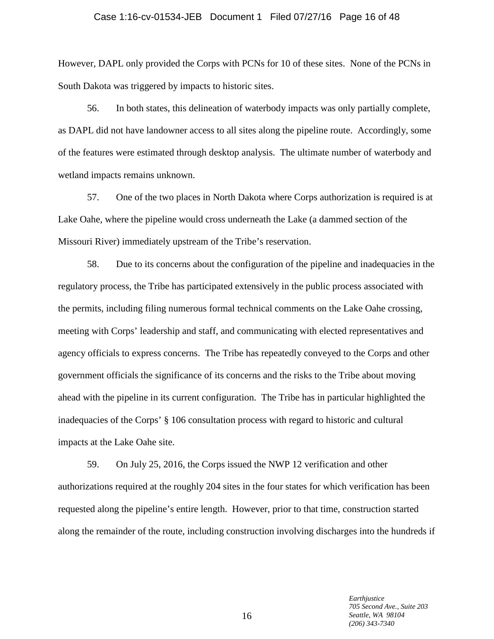# Case 1:16-cv-01534-JEB Document 1 Filed 07/27/16 Page 16 of 48

However, DAPL only provided the Corps with PCNs for 10 of these sites. None of the PCNs in South Dakota was triggered by impacts to historic sites.

56. In both states, this delineation of waterbody impacts was only partially complete, as DAPL did not have landowner access to all sites along the pipeline route. Accordingly, some of the features were estimated through desktop analysis. The ultimate number of waterbody and wetland impacts remains unknown.

57. One of the two places in North Dakota where Corps authorization is required is at Lake Oahe, where the pipeline would cross underneath the Lake (a dammed section of the Missouri River) immediately upstream of the Tribe's reservation.

58. Due to its concerns about the configuration of the pipeline and inadequacies in the regulatory process, the Tribe has participated extensively in the public process associated with the permits, including filing numerous formal technical comments on the Lake Oahe crossing, meeting with Corps' leadership and staff, and communicating with elected representatives and agency officials to express concerns. The Tribe has repeatedly conveyed to the Corps and other government officials the significance of its concerns and the risks to the Tribe about moving ahead with the pipeline in its current configuration. The Tribe has in particular highlighted the inadequacies of the Corps' § 106 consultation process with regard to historic and cultural impacts at the Lake Oahe site.

59. On July 25, 2016, the Corps issued the NWP 12 verification and other authorizations required at the roughly 204 sites in the four states for which verification has been requested along the pipeline's entire length. However, prior to that time, construction started along the remainder of the route, including construction involving discharges into the hundreds if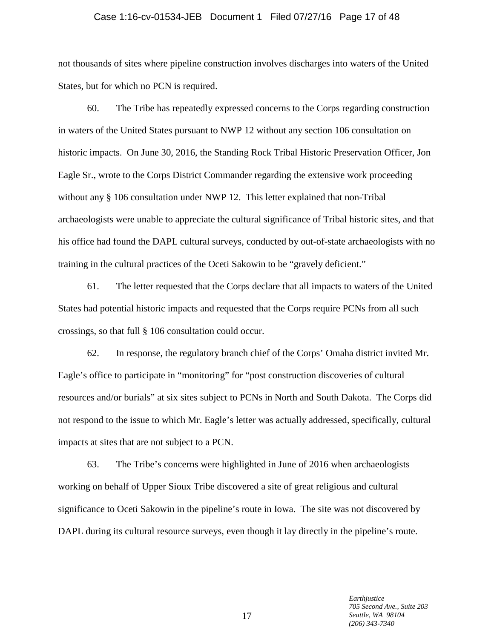#### Case 1:16-cv-01534-JEB Document 1 Filed 07/27/16 Page 17 of 48

not thousands of sites where pipeline construction involves discharges into waters of the United States, but for which no PCN is required.

60. The Tribe has repeatedly expressed concerns to the Corps regarding construction in waters of the United States pursuant to NWP 12 without any section 106 consultation on historic impacts. On June 30, 2016, the Standing Rock Tribal Historic Preservation Officer, Jon Eagle Sr., wrote to the Corps District Commander regarding the extensive work proceeding without any § 106 consultation under NWP 12. This letter explained that non-Tribal archaeologists were unable to appreciate the cultural significance of Tribal historic sites, and that his office had found the DAPL cultural surveys, conducted by out-of-state archaeologists with no training in the cultural practices of the Oceti Sakowin to be "gravely deficient."

61. The letter requested that the Corps declare that all impacts to waters of the United States had potential historic impacts and requested that the Corps require PCNs from all such crossings, so that full § 106 consultation could occur.

62. In response, the regulatory branch chief of the Corps' Omaha district invited Mr. Eagle's office to participate in "monitoring" for "post construction discoveries of cultural resources and/or burials" at six sites subject to PCNs in North and South Dakota. The Corps did not respond to the issue to which Mr. Eagle's letter was actually addressed, specifically, cultural impacts at sites that are not subject to a PCN.

63. The Tribe's concerns were highlighted in June of 2016 when archaeologists working on behalf of Upper Sioux Tribe discovered a site of great religious and cultural significance to Oceti Sakowin in the pipeline's route in Iowa. The site was not discovered by DAPL during its cultural resource surveys, even though it lay directly in the pipeline's route.

> *Earthjustice 705 Second Ave., Suite 203 Seattle, WA 98104 (206) 343-7340*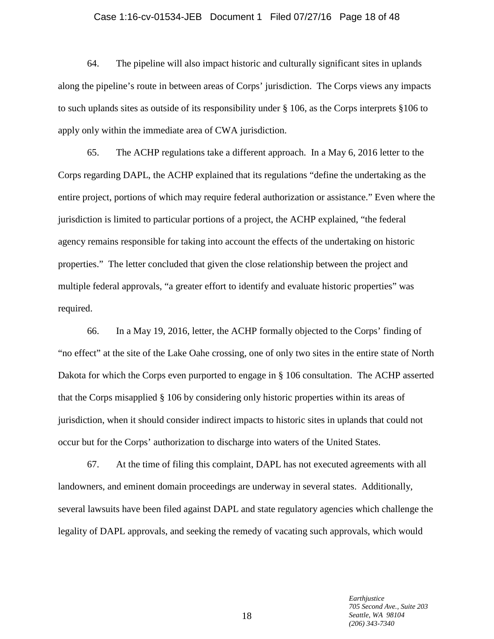# Case 1:16-cv-01534-JEB Document 1 Filed 07/27/16 Page 18 of 48

64. The pipeline will also impact historic and culturally significant sites in uplands along the pipeline's route in between areas of Corps' jurisdiction. The Corps views any impacts to such uplands sites as outside of its responsibility under § 106, as the Corps interprets §106 to apply only within the immediate area of CWA jurisdiction.

65. The ACHP regulations take a different approach. In a May 6, 2016 letter to the Corps regarding DAPL, the ACHP explained that its regulations "define the undertaking as the entire project, portions of which may require federal authorization or assistance." Even where the jurisdiction is limited to particular portions of a project, the ACHP explained, "the federal agency remains responsible for taking into account the effects of the undertaking on historic properties." The letter concluded that given the close relationship between the project and multiple federal approvals, "a greater effort to identify and evaluate historic properties" was required.

66. In a May 19, 2016, letter, the ACHP formally objected to the Corps' finding of "no effect" at the site of the Lake Oahe crossing, one of only two sites in the entire state of North Dakota for which the Corps even purported to engage in § 106 consultation. The ACHP asserted that the Corps misapplied § 106 by considering only historic properties within its areas of jurisdiction, when it should consider indirect impacts to historic sites in uplands that could not occur but for the Corps' authorization to discharge into waters of the United States.

67. At the time of filing this complaint, DAPL has not executed agreements with all landowners, and eminent domain proceedings are underway in several states. Additionally, several lawsuits have been filed against DAPL and state regulatory agencies which challenge the legality of DAPL approvals, and seeking the remedy of vacating such approvals, which would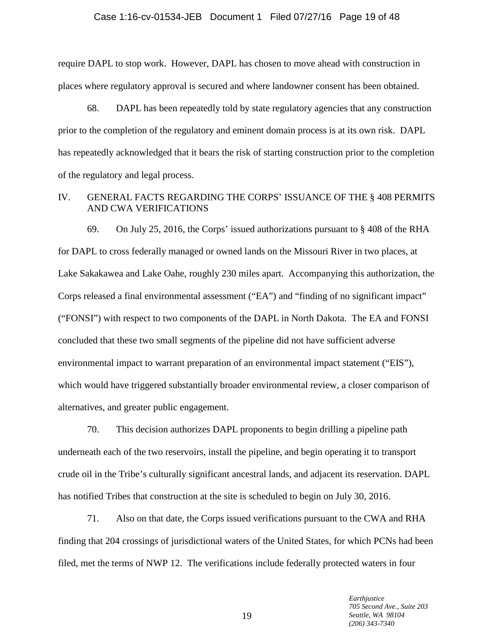# Case 1:16-cv-01534-JEB Document 1 Filed 07/27/16 Page 19 of 48

require DAPL to stop work. However, DAPL has chosen to move ahead with construction in places where regulatory approval is secured and where landowner consent has been obtained.

68. DAPL has been repeatedly told by state regulatory agencies that any construction prior to the completion of the regulatory and eminent domain process is at its own risk. DAPL has repeatedly acknowledged that it bears the risk of starting construction prior to the completion of the regulatory and legal process.

# IV. GENERAL FACTS REGARDING THE CORPS' ISSUANCE OF THE § 408 PERMITS AND CWA VERIFICATIONS

69. On July 25, 2016, the Corps' issued authorizations pursuant to § 408 of the RHA for DAPL to cross federally managed or owned lands on the Missouri River in two places, at Lake Sakakawea and Lake Oahe, roughly 230 miles apart. Accompanying this authorization, the Corps released a final environmental assessment ("EA") and "finding of no significant impact" ("FONSI") with respect to two components of the DAPL in North Dakota. The EA and FONSI concluded that these two small segments of the pipeline did not have sufficient adverse environmental impact to warrant preparation of an environmental impact statement ("EIS"), which would have triggered substantially broader environmental review, a closer comparison of alternatives, and greater public engagement.

70. This decision authorizes DAPL proponents to begin drilling a pipeline path underneath each of the two reservoirs, install the pipeline, and begin operating it to transport crude oil in the Tribe's culturally significant ancestral lands, and adjacent its reservation. DAPL has notified Tribes that construction at the site is scheduled to begin on July 30, 2016.

71. Also on that date, the Corps issued verifications pursuant to the CWA and RHA finding that 204 crossings of jurisdictional waters of the United States, for which PCNs had been filed, met the terms of NWP 12. The verifications include federally protected waters in four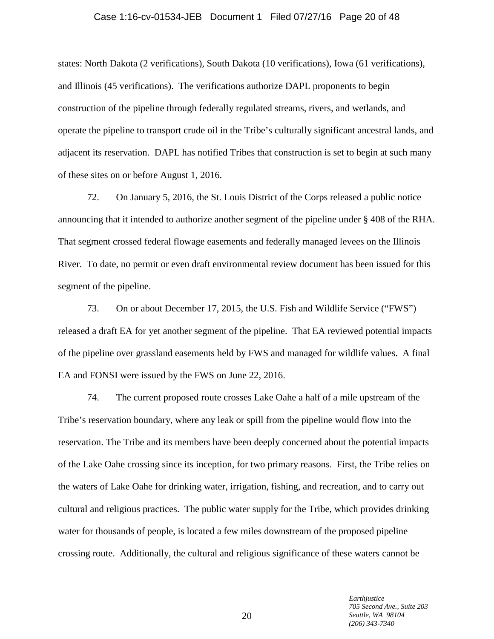# Case 1:16-cv-01534-JEB Document 1 Filed 07/27/16 Page 20 of 48

states: North Dakota (2 verifications), South Dakota (10 verifications), Iowa (61 verifications), and Illinois (45 verifications). The verifications authorize DAPL proponents to begin construction of the pipeline through federally regulated streams, rivers, and wetlands, and operate the pipeline to transport crude oil in the Tribe's culturally significant ancestral lands, and adjacent its reservation. DAPL has notified Tribes that construction is set to begin at such many of these sites on or before August 1, 2016.

72. On January 5, 2016, the St. Louis District of the Corps released a public notice announcing that it intended to authorize another segment of the pipeline under § 408 of the RHA. That segment crossed federal flowage easements and federally managed levees on the Illinois River. To date, no permit or even draft environmental review document has been issued for this segment of the pipeline.

73. On or about December 17, 2015, the U.S. Fish and Wildlife Service ("FWS") released a draft EA for yet another segment of the pipeline. That EA reviewed potential impacts of the pipeline over grassland easements held by FWS and managed for wildlife values. A final EA and FONSI were issued by the FWS on June 22, 2016.

74. The current proposed route crosses Lake Oahe a half of a mile upstream of the Tribe's reservation boundary, where any leak or spill from the pipeline would flow into the reservation. The Tribe and its members have been deeply concerned about the potential impacts of the Lake Oahe crossing since its inception, for two primary reasons. First, the Tribe relies on the waters of Lake Oahe for drinking water, irrigation, fishing, and recreation, and to carry out cultural and religious practices. The public water supply for the Tribe, which provides drinking water for thousands of people, is located a few miles downstream of the proposed pipeline crossing route. Additionally, the cultural and religious significance of these waters cannot be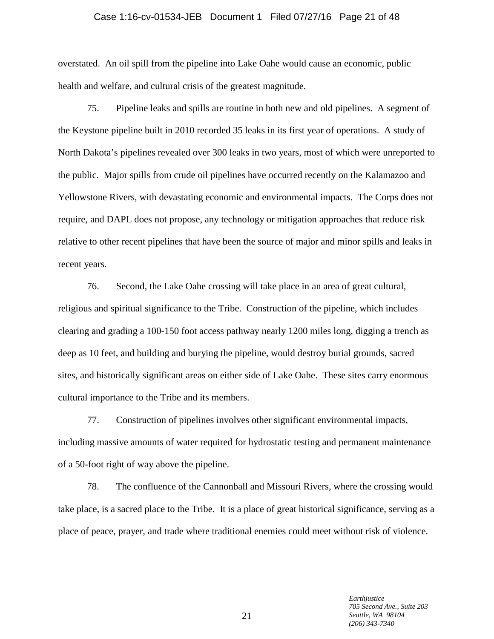#### Case 1:16-cv-01534-JEB Document 1 Filed 07/27/16 Page 21 of 48

overstated. An oil spill from the pipeline into Lake Oahe would cause an economic, public health and welfare, and cultural crisis of the greatest magnitude.

75. Pipeline leaks and spills are routine in both new and old pipelines. A segment of the Keystone pipeline built in 2010 recorded 35 leaks in its first year of operations. A study of North Dakota's pipelines revealed over 300 leaks in two years, most of which were unreported to the public. Major spills from crude oil pipelines have occurred recently on the Kalamazoo and Yellowstone Rivers, with devastating economic and environmental impacts. The Corps does not require, and DAPL does not propose, any technology or mitigation approaches that reduce risk relative to other recent pipelines that have been the source of major and minor spills and leaks in recent years.

76. Second, the Lake Oahe crossing will take place in an area of great cultural, religious and spiritual significance to the Tribe. Construction of the pipeline, which includes clearing and grading a 100-150 foot access pathway nearly 1200 miles long, digging a trench as deep as 10 feet, and building and burying the pipeline, would destroy burial grounds, sacred sites, and historically significant areas on either side of Lake Oahe. These sites carry enormous cultural importance to the Tribe and its members.

77. Construction of pipelines involves other significant environmental impacts, including massive amounts of water required for hydrostatic testing and permanent maintenance of a 50-foot right of way above the pipeline.

78. The confluence of the Cannonball and Missouri Rivers, where the crossing would take place, is a sacred place to the Tribe. It is a place of great historical significance, serving as a place of peace, prayer, and trade where traditional enemies could meet without risk of violence.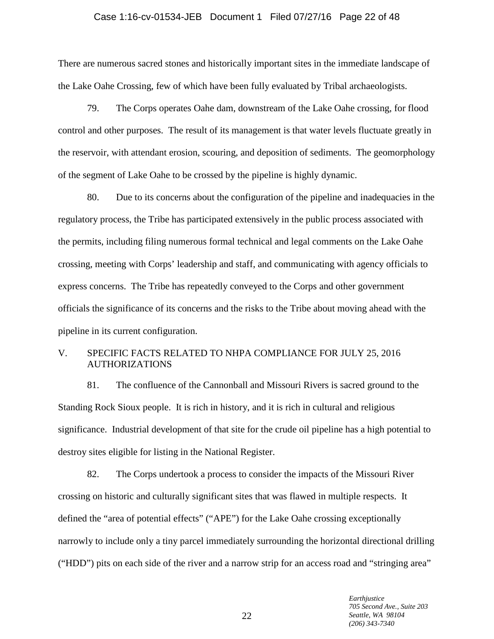# Case 1:16-cv-01534-JEB Document 1 Filed 07/27/16 Page 22 of 48

There are numerous sacred stones and historically important sites in the immediate landscape of the Lake Oahe Crossing, few of which have been fully evaluated by Tribal archaeologists.

79. The Corps operates Oahe dam, downstream of the Lake Oahe crossing, for flood control and other purposes. The result of its management is that water levels fluctuate greatly in the reservoir, with attendant erosion, scouring, and deposition of sediments. The geomorphology of the segment of Lake Oahe to be crossed by the pipeline is highly dynamic.

80. Due to its concerns about the configuration of the pipeline and inadequacies in the regulatory process, the Tribe has participated extensively in the public process associated with the permits, including filing numerous formal technical and legal comments on the Lake Oahe crossing, meeting with Corps' leadership and staff, and communicating with agency officials to express concerns. The Tribe has repeatedly conveyed to the Corps and other government officials the significance of its concerns and the risks to the Tribe about moving ahead with the pipeline in its current configuration.

# V. SPECIFIC FACTS RELATED TO NHPA COMPLIANCE FOR JULY 25, 2016 AUTHORIZATIONS

81. The confluence of the Cannonball and Missouri Rivers is sacred ground to the Standing Rock Sioux people. It is rich in history, and it is rich in cultural and religious significance. Industrial development of that site for the crude oil pipeline has a high potential to destroy sites eligible for listing in the National Register.

82. The Corps undertook a process to consider the impacts of the Missouri River crossing on historic and culturally significant sites that was flawed in multiple respects. It defined the "area of potential effects" ("APE") for the Lake Oahe crossing exceptionally narrowly to include only a tiny parcel immediately surrounding the horizontal directional drilling ("HDD") pits on each side of the river and a narrow strip for an access road and "stringing area"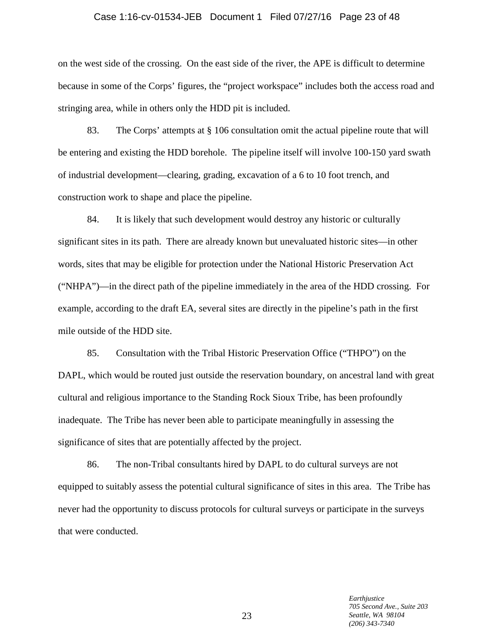#### Case 1:16-cv-01534-JEB Document 1 Filed 07/27/16 Page 23 of 48

on the west side of the crossing. On the east side of the river, the APE is difficult to determine because in some of the Corps' figures, the "project workspace" includes both the access road and stringing area, while in others only the HDD pit is included.

83. The Corps' attempts at § 106 consultation omit the actual pipeline route that will be entering and existing the HDD borehole. The pipeline itself will involve 100-150 yard swath of industrial development—clearing, grading, excavation of a 6 to 10 foot trench, and construction work to shape and place the pipeline.

84. It is likely that such development would destroy any historic or culturally significant sites in its path. There are already known but unevaluated historic sites—in other words, sites that may be eligible for protection under the National Historic Preservation Act ("NHPA")—in the direct path of the pipeline immediately in the area of the HDD crossing. For example, according to the draft EA, several sites are directly in the pipeline's path in the first mile outside of the HDD site.

85. Consultation with the Tribal Historic Preservation Office ("THPO") on the DAPL, which would be routed just outside the reservation boundary, on ancestral land with great cultural and religious importance to the Standing Rock Sioux Tribe, has been profoundly inadequate. The Tribe has never been able to participate meaningfully in assessing the significance of sites that are potentially affected by the project.

86. The non-Tribal consultants hired by DAPL to do cultural surveys are not equipped to suitably assess the potential cultural significance of sites in this area. The Tribe has never had the opportunity to discuss protocols for cultural surveys or participate in the surveys that were conducted.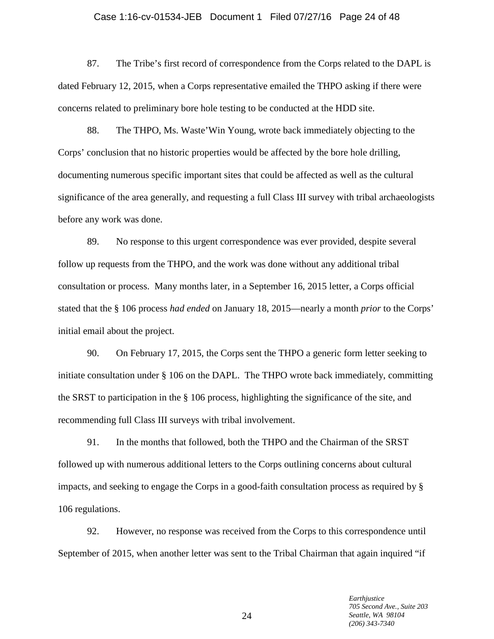#### Case 1:16-cv-01534-JEB Document 1 Filed 07/27/16 Page 24 of 48

87. The Tribe's first record of correspondence from the Corps related to the DAPL is dated February 12, 2015, when a Corps representative emailed the THPO asking if there were concerns related to preliminary bore hole testing to be conducted at the HDD site.

88. The THPO, Ms. Waste'Win Young, wrote back immediately objecting to the Corps' conclusion that no historic properties would be affected by the bore hole drilling, documenting numerous specific important sites that could be affected as well as the cultural significance of the area generally, and requesting a full Class III survey with tribal archaeologists before any work was done.

89. No response to this urgent correspondence was ever provided, despite several follow up requests from the THPO, and the work was done without any additional tribal consultation or process. Many months later, in a September 16, 2015 letter, a Corps official stated that the § 106 process *had ended* on January 18, 2015—nearly a month *prior* to the Corps' initial email about the project.

90. On February 17, 2015, the Corps sent the THPO a generic form letter seeking to initiate consultation under § 106 on the DAPL. The THPO wrote back immediately, committing the SRST to participation in the § 106 process, highlighting the significance of the site, and recommending full Class III surveys with tribal involvement.

91. In the months that followed, both the THPO and the Chairman of the SRST followed up with numerous additional letters to the Corps outlining concerns about cultural impacts, and seeking to engage the Corps in a good-faith consultation process as required by § 106 regulations.

92. However, no response was received from the Corps to this correspondence until September of 2015, when another letter was sent to the Tribal Chairman that again inquired "if

> *Earthjustice 705 Second Ave., Suite 203 Seattle, WA 98104 (206) 343-7340*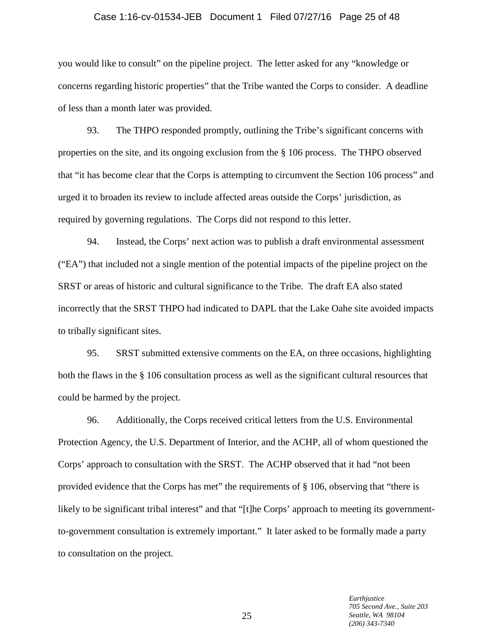#### Case 1:16-cv-01534-JEB Document 1 Filed 07/27/16 Page 25 of 48

you would like to consult" on the pipeline project. The letter asked for any "knowledge or concerns regarding historic properties" that the Tribe wanted the Corps to consider. A deadline of less than a month later was provided.

93. The THPO responded promptly, outlining the Tribe's significant concerns with properties on the site, and its ongoing exclusion from the § 106 process. The THPO observed that "it has become clear that the Corps is attempting to circumvent the Section 106 process" and urged it to broaden its review to include affected areas outside the Corps' jurisdiction, as required by governing regulations. The Corps did not respond to this letter.

94. Instead, the Corps' next action was to publish a draft environmental assessment ("EA") that included not a single mention of the potential impacts of the pipeline project on the SRST or areas of historic and cultural significance to the Tribe. The draft EA also stated incorrectly that the SRST THPO had indicated to DAPL that the Lake Oahe site avoided impacts to tribally significant sites.

95. SRST submitted extensive comments on the EA, on three occasions, highlighting both the flaws in the § 106 consultation process as well as the significant cultural resources that could be harmed by the project.

96. Additionally, the Corps received critical letters from the U.S. Environmental Protection Agency, the U.S. Department of Interior, and the ACHP, all of whom questioned the Corps' approach to consultation with the SRST. The ACHP observed that it had "not been provided evidence that the Corps has met" the requirements of § 106, observing that "there is likely to be significant tribal interest" and that "[t]he Corps' approach to meeting its governmentto-government consultation is extremely important." It later asked to be formally made a party to consultation on the project.

> *Earthjustice 705 Second Ave., Suite 203 Seattle, WA 98104 (206) 343-7340*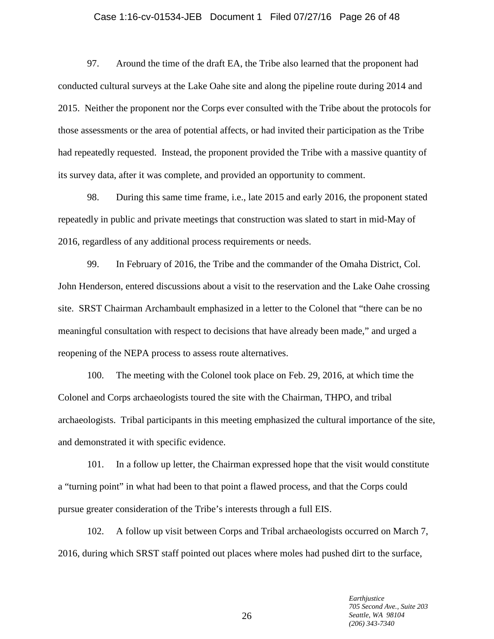# Case 1:16-cv-01534-JEB Document 1 Filed 07/27/16 Page 26 of 48

97. Around the time of the draft EA, the Tribe also learned that the proponent had conducted cultural surveys at the Lake Oahe site and along the pipeline route during 2014 and 2015. Neither the proponent nor the Corps ever consulted with the Tribe about the protocols for those assessments or the area of potential affects, or had invited their participation as the Tribe had repeatedly requested. Instead, the proponent provided the Tribe with a massive quantity of its survey data, after it was complete, and provided an opportunity to comment.

98. During this same time frame, i.e., late 2015 and early 2016, the proponent stated repeatedly in public and private meetings that construction was slated to start in mid-May of 2016, regardless of any additional process requirements or needs.

99. In February of 2016, the Tribe and the commander of the Omaha District, Col. John Henderson, entered discussions about a visit to the reservation and the Lake Oahe crossing site. SRST Chairman Archambault emphasized in a letter to the Colonel that "there can be no meaningful consultation with respect to decisions that have already been made," and urged a reopening of the NEPA process to assess route alternatives.

100. The meeting with the Colonel took place on Feb. 29, 2016, at which time the Colonel and Corps archaeologists toured the site with the Chairman, THPO, and tribal archaeologists. Tribal participants in this meeting emphasized the cultural importance of the site, and demonstrated it with specific evidence.

101. In a follow up letter, the Chairman expressed hope that the visit would constitute a "turning point" in what had been to that point a flawed process, and that the Corps could pursue greater consideration of the Tribe's interests through a full EIS.

102. A follow up visit between Corps and Tribal archaeologists occurred on March 7, 2016, during which SRST staff pointed out places where moles had pushed dirt to the surface,

> *Earthjustice 705 Second Ave., Suite 203 Seattle, WA 98104 (206) 343-7340*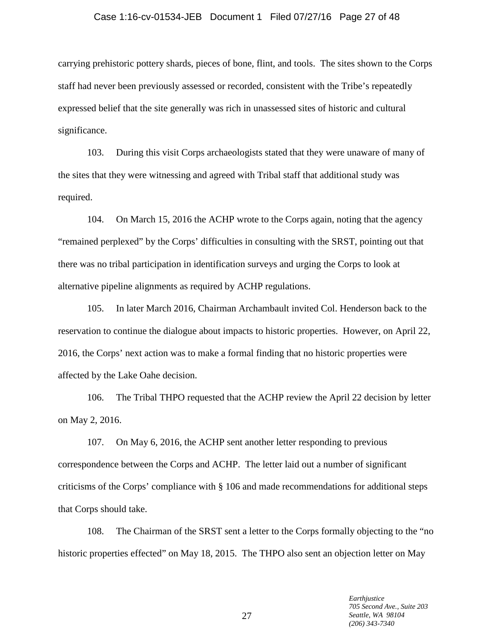#### Case 1:16-cv-01534-JEB Document 1 Filed 07/27/16 Page 27 of 48

carrying prehistoric pottery shards, pieces of bone, flint, and tools. The sites shown to the Corps staff had never been previously assessed or recorded, consistent with the Tribe's repeatedly expressed belief that the site generally was rich in unassessed sites of historic and cultural significance.

103. During this visit Corps archaeologists stated that they were unaware of many of the sites that they were witnessing and agreed with Tribal staff that additional study was required.

104. On March 15, 2016 the ACHP wrote to the Corps again, noting that the agency "remained perplexed" by the Corps' difficulties in consulting with the SRST, pointing out that there was no tribal participation in identification surveys and urging the Corps to look at alternative pipeline alignments as required by ACHP regulations.

105. In later March 2016, Chairman Archambault invited Col. Henderson back to the reservation to continue the dialogue about impacts to historic properties. However, on April 22, 2016, the Corps' next action was to make a formal finding that no historic properties were affected by the Lake Oahe decision.

106. The Tribal THPO requested that the ACHP review the April 22 decision by letter on May 2, 2016.

107. On May 6, 2016, the ACHP sent another letter responding to previous correspondence between the Corps and ACHP. The letter laid out a number of significant criticisms of the Corps' compliance with § 106 and made recommendations for additional steps that Corps should take.

108. The Chairman of the SRST sent a letter to the Corps formally objecting to the "no historic properties effected" on May 18, 2015. The THPO also sent an objection letter on May

> *Earthjustice 705 Second Ave., Suite 203 Seattle, WA 98104 (206) 343-7340*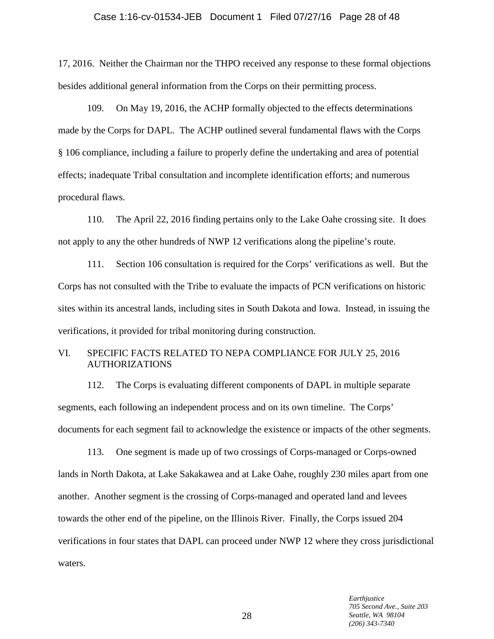#### Case 1:16-cv-01534-JEB Document 1 Filed 07/27/16 Page 28 of 48

17, 2016. Neither the Chairman nor the THPO received any response to these formal objections besides additional general information from the Corps on their permitting process.

109. On May 19, 2016, the ACHP formally objected to the effects determinations made by the Corps for DAPL. The ACHP outlined several fundamental flaws with the Corps § 106 compliance, including a failure to properly define the undertaking and area of potential effects; inadequate Tribal consultation and incomplete identification efforts; and numerous procedural flaws.

110. The April 22, 2016 finding pertains only to the Lake Oahe crossing site. It does not apply to any the other hundreds of NWP 12 verifications along the pipeline's route.

111. Section 106 consultation is required for the Corps' verifications as well. But the Corps has not consulted with the Tribe to evaluate the impacts of PCN verifications on historic sites within its ancestral lands, including sites in South Dakota and Iowa. Instead, in issuing the verifications, it provided for tribal monitoring during construction.

# VI. SPECIFIC FACTS RELATED TO NEPA COMPLIANCE FOR JULY 25, 2016 AUTHORIZATIONS

112. The Corps is evaluating different components of DAPL in multiple separate segments, each following an independent process and on its own timeline. The Corps' documents for each segment fail to acknowledge the existence or impacts of the other segments.

113. One segment is made up of two crossings of Corps-managed or Corps-owned lands in North Dakota, at Lake Sakakawea and at Lake Oahe, roughly 230 miles apart from one another. Another segment is the crossing of Corps-managed and operated land and levees towards the other end of the pipeline, on the Illinois River. Finally, the Corps issued 204 verifications in four states that DAPL can proceed under NWP 12 where they cross jurisdictional waters.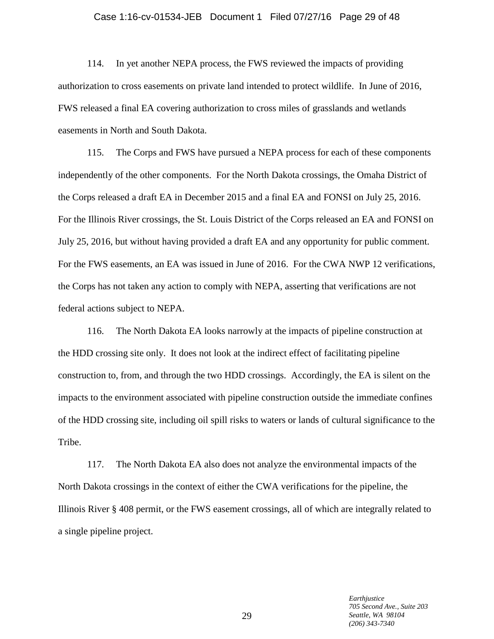# Case 1:16-cv-01534-JEB Document 1 Filed 07/27/16 Page 29 of 48

114. In yet another NEPA process, the FWS reviewed the impacts of providing authorization to cross easements on private land intended to protect wildlife. In June of 2016, FWS released a final EA covering authorization to cross miles of grasslands and wetlands easements in North and South Dakota.

115. The Corps and FWS have pursued a NEPA process for each of these components independently of the other components. For the North Dakota crossings, the Omaha District of the Corps released a draft EA in December 2015 and a final EA and FONSI on July 25, 2016. For the Illinois River crossings, the St. Louis District of the Corps released an EA and FONSI on July 25, 2016, but without having provided a draft EA and any opportunity for public comment. For the FWS easements, an EA was issued in June of 2016. For the CWA NWP 12 verifications, the Corps has not taken any action to comply with NEPA, asserting that verifications are not federal actions subject to NEPA.

116. The North Dakota EA looks narrowly at the impacts of pipeline construction at the HDD crossing site only. It does not look at the indirect effect of facilitating pipeline construction to, from, and through the two HDD crossings. Accordingly, the EA is silent on the impacts to the environment associated with pipeline construction outside the immediate confines of the HDD crossing site, including oil spill risks to waters or lands of cultural significance to the Tribe.

117. The North Dakota EA also does not analyze the environmental impacts of the North Dakota crossings in the context of either the CWA verifications for the pipeline, the Illinois River § 408 permit, or the FWS easement crossings, all of which are integrally related to a single pipeline project.

> *Earthjustice 705 Second Ave., Suite 203 Seattle, WA 98104 (206) 343-7340*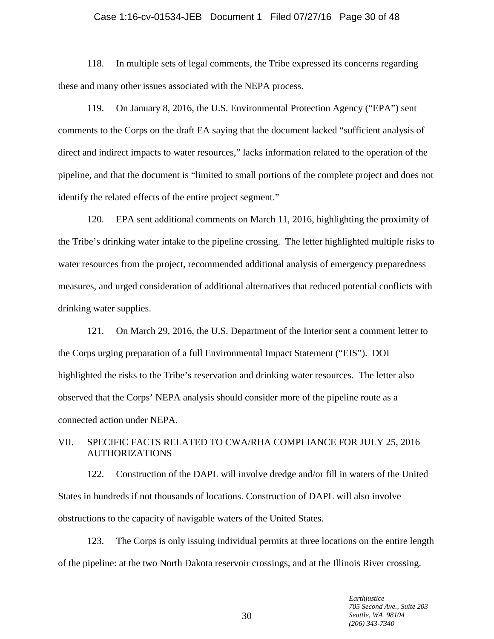#### Case 1:16-cv-01534-JEB Document 1 Filed 07/27/16 Page 30 of 48

118. In multiple sets of legal comments, the Tribe expressed its concerns regarding these and many other issues associated with the NEPA process.

119. On January 8, 2016, the U.S. Environmental Protection Agency ("EPA") sent comments to the Corps on the draft EA saying that the document lacked "sufficient analysis of direct and indirect impacts to water resources," lacks information related to the operation of the pipeline, and that the document is "limited to small portions of the complete project and does not identify the related effects of the entire project segment."

120. EPA sent additional comments on March 11, 2016, highlighting the proximity of the Tribe's drinking water intake to the pipeline crossing. The letter highlighted multiple risks to water resources from the project, recommended additional analysis of emergency preparedness measures, and urged consideration of additional alternatives that reduced potential conflicts with drinking water supplies.

121. On March 29, 2016, the U.S. Department of the Interior sent a comment letter to the Corps urging preparation of a full Environmental Impact Statement ("EIS"). DOI highlighted the risks to the Tribe's reservation and drinking water resources. The letter also observed that the Corps' NEPA analysis should consider more of the pipeline route as a connected action under NEPA.

# VII. SPECIFIC FACTS RELATED TO CWA/RHA COMPLIANCE FOR JULY 25, 2016 AUTHORIZATIONS

122. Construction of the DAPL will involve dredge and/or fill in waters of the United States in hundreds if not thousands of locations. Construction of DAPL will also involve obstructions to the capacity of navigable waters of the United States.

123. The Corps is only issuing individual permits at three locations on the entire length of the pipeline: at the two North Dakota reservoir crossings, and at the Illinois River crossing.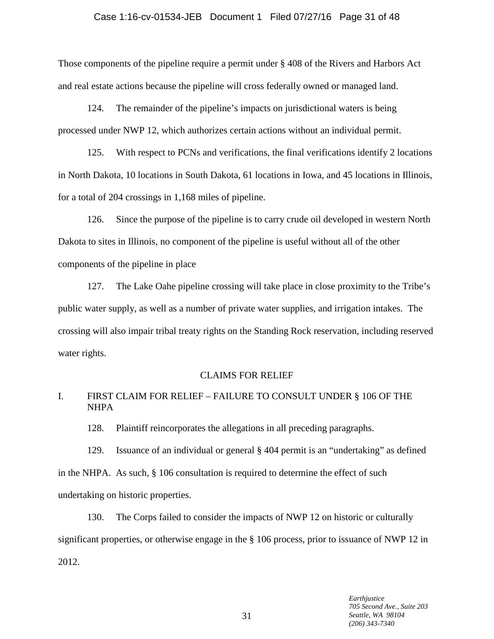# Case 1:16-cv-01534-JEB Document 1 Filed 07/27/16 Page 31 of 48

Those components of the pipeline require a permit under § 408 of the Rivers and Harbors Act and real estate actions because the pipeline will cross federally owned or managed land.

124. The remainder of the pipeline's impacts on jurisdictional waters is being processed under NWP 12, which authorizes certain actions without an individual permit.

125. With respect to PCNs and verifications, the final verifications identify 2 locations in North Dakota, 10 locations in South Dakota, 61 locations in Iowa, and 45 locations in Illinois, for a total of 204 crossings in 1,168 miles of pipeline.

126. Since the purpose of the pipeline is to carry crude oil developed in western North Dakota to sites in Illinois, no component of the pipeline is useful without all of the other components of the pipeline in place

127. The Lake Oahe pipeline crossing will take place in close proximity to the Tribe's public water supply, as well as a number of private water supplies, and irrigation intakes. The crossing will also impair tribal treaty rights on the Standing Rock reservation, including reserved water rights.

#### CLAIMS FOR RELIEF

# I. FIRST CLAIM FOR RELIEF – FAILURE TO CONSULT UNDER § 106 OF THE NHPA

128. Plaintiff reincorporates the allegations in all preceding paragraphs.

129. Issuance of an individual or general § 404 permit is an "undertaking" as defined in the NHPA. As such,  $\S$  106 consultation is required to determine the effect of such undertaking on historic properties.

130. The Corps failed to consider the impacts of NWP 12 on historic or culturally significant properties, or otherwise engage in the § 106 process, prior to issuance of NWP 12 in 2012.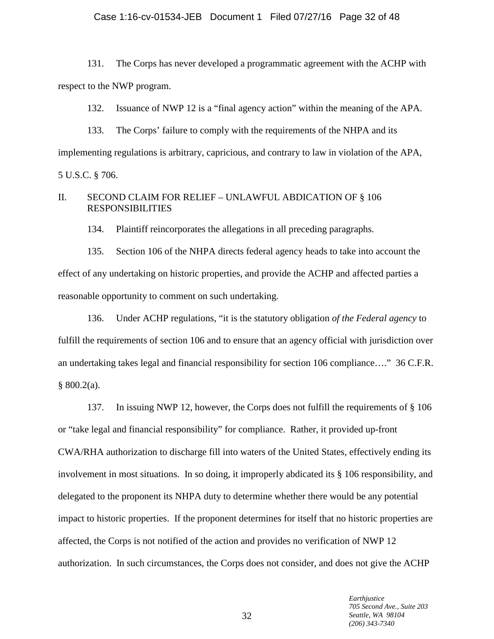#### Case 1:16-cv-01534-JEB Document 1 Filed 07/27/16 Page 32 of 48

131. The Corps has never developed a programmatic agreement with the ACHP with respect to the NWP program.

132. Issuance of NWP 12 is a "final agency action" within the meaning of the APA.

133. The Corps' failure to comply with the requirements of the NHPA and its implementing regulations is arbitrary, capricious, and contrary to law in violation of the APA, 5 U.S.C. § 706.

# II. SECOND CLAIM FOR RELIEF – UNLAWFUL ABDICATION OF § 106 RESPONSIBILITIES

134. Plaintiff reincorporates the allegations in all preceding paragraphs.

135. Section 106 of the NHPA directs federal agency heads to take into account the effect of any undertaking on historic properties, and provide the ACHP and affected parties a reasonable opportunity to comment on such undertaking.

136. Under ACHP regulations, "it is the statutory obligation *of the Federal agency* to fulfill the requirements of section 106 and to ensure that an agency official with jurisdiction over an undertaking takes legal and financial responsibility for section 106 compliance…." 36 C.F.R.  $§ 800.2(a).$ 

137. In issuing NWP 12, however, the Corps does not fulfill the requirements of § 106 or "take legal and financial responsibility" for compliance. Rather, it provided up-front CWA/RHA authorization to discharge fill into waters of the United States, effectively ending its involvement in most situations. In so doing, it improperly abdicated its § 106 responsibility, and delegated to the proponent its NHPA duty to determine whether there would be any potential impact to historic properties. If the proponent determines for itself that no historic properties are affected, the Corps is not notified of the action and provides no verification of NWP 12 authorization. In such circumstances, the Corps does not consider, and does not give the ACHP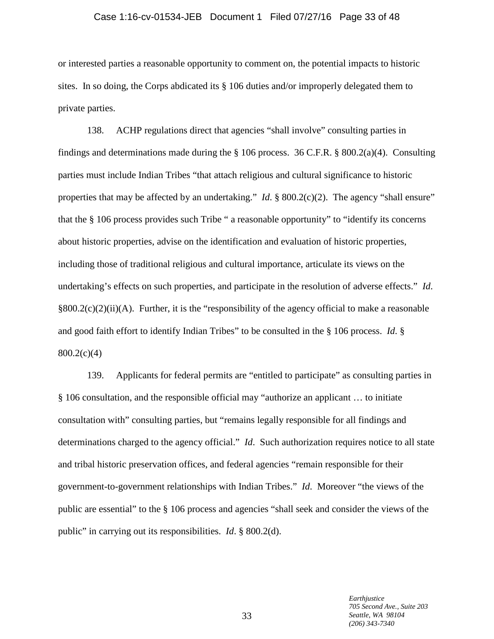# Case 1:16-cv-01534-JEB Document 1 Filed 07/27/16 Page 33 of 48

or interested parties a reasonable opportunity to comment on, the potential impacts to historic sites. In so doing, the Corps abdicated its § 106 duties and/or improperly delegated them to private parties.

138. ACHP regulations direct that agencies "shall involve" consulting parties in findings and determinations made during the  $\S$  106 process. 36 C.F.R.  $\S$  800.2(a)(4). Consulting parties must include Indian Tribes "that attach religious and cultural significance to historic properties that may be affected by an undertaking." *Id.* § 800.2(c)(2). The agency "shall ensure" that the § 106 process provides such Tribe " a reasonable opportunity" to "identify its concerns about historic properties, advise on the identification and evaluation of historic properties, including those of traditional religious and cultural importance, articulate its views on the undertaking's effects on such properties, and participate in the resolution of adverse effects." *Id*.  $§800.2(c)(2)(ii)(A)$ . Further, it is the "responsibility of the agency official to make a reasonable and good faith effort to identify Indian Tribes" to be consulted in the § 106 process. *Id*. §  $800.2(c)(4)$ 

139. Applicants for federal permits are "entitled to participate" as consulting parties in § 106 consultation, and the responsible official may "authorize an applicant … to initiate consultation with" consulting parties, but "remains legally responsible for all findings and determinations charged to the agency official." *Id*. Such authorization requires notice to all state and tribal historic preservation offices, and federal agencies "remain responsible for their government-to-government relationships with Indian Tribes." *Id*. Moreover "the views of the public are essential" to the § 106 process and agencies "shall seek and consider the views of the public" in carrying out its responsibilities. *Id*. § 800.2(d).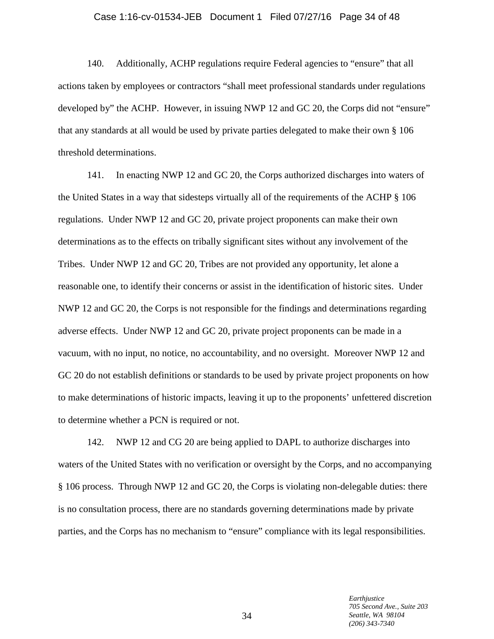# Case 1:16-cv-01534-JEB Document 1 Filed 07/27/16 Page 34 of 48

140. Additionally, ACHP regulations require Federal agencies to "ensure" that all actions taken by employees or contractors "shall meet professional standards under regulations developed by" the ACHP. However, in issuing NWP 12 and GC 20, the Corps did not "ensure" that any standards at all would be used by private parties delegated to make their own § 106 threshold determinations.

141. In enacting NWP 12 and GC 20, the Corps authorized discharges into waters of the United States in a way that sidesteps virtually all of the requirements of the ACHP § 106 regulations. Under NWP 12 and GC 20, private project proponents can make their own determinations as to the effects on tribally significant sites without any involvement of the Tribes. Under NWP 12 and GC 20, Tribes are not provided any opportunity, let alone a reasonable one, to identify their concerns or assist in the identification of historic sites. Under NWP 12 and GC 20, the Corps is not responsible for the findings and determinations regarding adverse effects. Under NWP 12 and GC 20, private project proponents can be made in a vacuum, with no input, no notice, no accountability, and no oversight. Moreover NWP 12 and GC 20 do not establish definitions or standards to be used by private project proponents on how to make determinations of historic impacts, leaving it up to the proponents' unfettered discretion to determine whether a PCN is required or not.

142. NWP 12 and CG 20 are being applied to DAPL to authorize discharges into waters of the United States with no verification or oversight by the Corps, and no accompanying § 106 process. Through NWP 12 and GC 20, the Corps is violating non-delegable duties: there is no consultation process, there are no standards governing determinations made by private parties, and the Corps has no mechanism to "ensure" compliance with its legal responsibilities.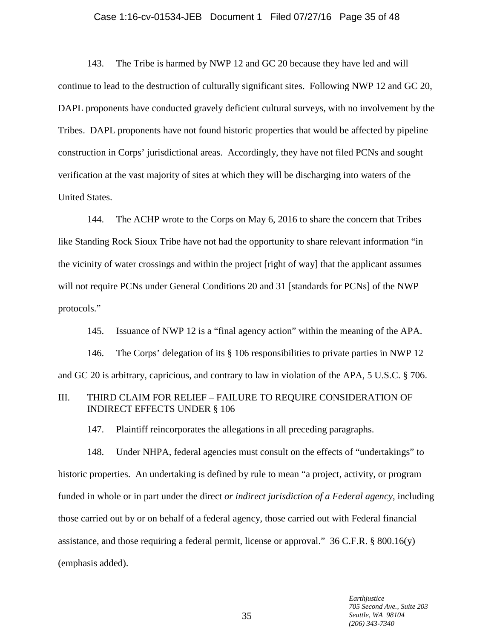# Case 1:16-cv-01534-JEB Document 1 Filed 07/27/16 Page 35 of 48

143. The Tribe is harmed by NWP 12 and GC 20 because they have led and will continue to lead to the destruction of culturally significant sites. Following NWP 12 and GC 20, DAPL proponents have conducted gravely deficient cultural surveys, with no involvement by the Tribes. DAPL proponents have not found historic properties that would be affected by pipeline construction in Corps' jurisdictional areas. Accordingly, they have not filed PCNs and sought verification at the vast majority of sites at which they will be discharging into waters of the United States.

144. The ACHP wrote to the Corps on May 6, 2016 to share the concern that Tribes like Standing Rock Sioux Tribe have not had the opportunity to share relevant information "in the vicinity of water crossings and within the project [right of way] that the applicant assumes will not require PCNs under General Conditions 20 and 31 [standards for PCNs] of the NWP protocols."

145. Issuance of NWP 12 is a "final agency action" within the meaning of the APA.

146. The Corps' delegation of its § 106 responsibilities to private parties in NWP 12 and GC 20 is arbitrary, capricious, and contrary to law in violation of the APA, 5 U.S.C. § 706.

# III. THIRD CLAIM FOR RELIEF – FAILURE TO REQUIRE CONSIDERATION OF INDIRECT EFFECTS UNDER § 106

147. Plaintiff reincorporates the allegations in all preceding paragraphs.

148. Under NHPA, federal agencies must consult on the effects of "undertakings" to historic properties. An undertaking is defined by rule to mean "a project, activity, or program funded in whole or in part under the direct *or indirect jurisdiction of a Federal agency*, including those carried out by or on behalf of a federal agency, those carried out with Federal financial assistance, and those requiring a federal permit, license or approval." 36 C.F.R. § 800.16(y) (emphasis added).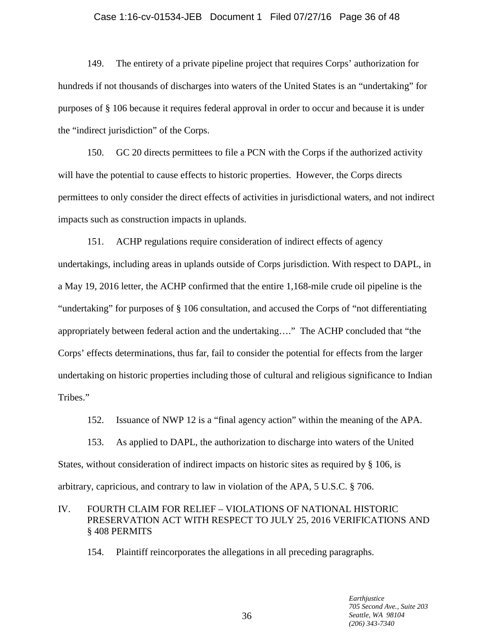# Case 1:16-cv-01534-JEB Document 1 Filed 07/27/16 Page 36 of 48

149. The entirety of a private pipeline project that requires Corps' authorization for hundreds if not thousands of discharges into waters of the United States is an "undertaking" for purposes of § 106 because it requires federal approval in order to occur and because it is under the "indirect jurisdiction" of the Corps.

150. GC 20 directs permittees to file a PCN with the Corps if the authorized activity will have the potential to cause effects to historic properties. However, the Corps directs permittees to only consider the direct effects of activities in jurisdictional waters, and not indirect impacts such as construction impacts in uplands.

151. ACHP regulations require consideration of indirect effects of agency undertakings, including areas in uplands outside of Corps jurisdiction. With respect to DAPL, in a May 19, 2016 letter, the ACHP confirmed that the entire 1,168-mile crude oil pipeline is the "undertaking" for purposes of § 106 consultation, and accused the Corps of "not differentiating appropriately between federal action and the undertaking…." The ACHP concluded that "the Corps' effects determinations, thus far, fail to consider the potential for effects from the larger undertaking on historic properties including those of cultural and religious significance to Indian Tribes."

152. Issuance of NWP 12 is a "final agency action" within the meaning of the APA.

153. As applied to DAPL, the authorization to discharge into waters of the United States, without consideration of indirect impacts on historic sites as required by § 106, is arbitrary, capricious, and contrary to law in violation of the APA, 5 U.S.C. § 706.

# IV. FOURTH CLAIM FOR RELIEF – VIOLATIONS OF NATIONAL HISTORIC PRESERVATION ACT WITH RESPECT TO JULY 25, 2016 VERIFICATIONS AND § 408 PERMITS

154. Plaintiff reincorporates the allegations in all preceding paragraphs.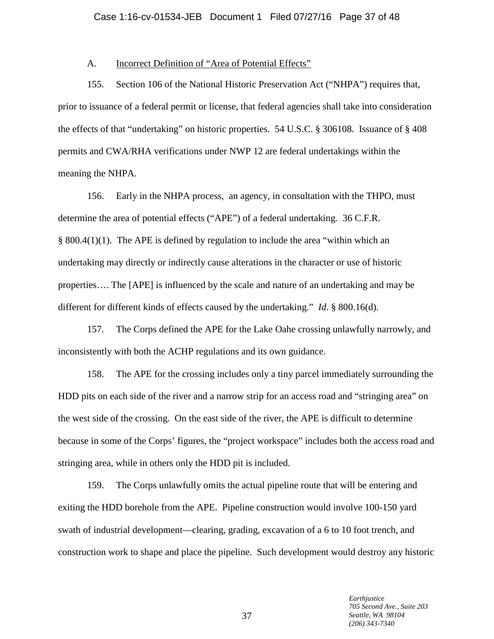# A. Incorrect Definition of "Area of Potential Effects"

155. Section 106 of the National Historic Preservation Act ("NHPA") requires that, prior to issuance of a federal permit or license, that federal agencies shall take into consideration the effects of that "undertaking" on historic properties. 54 U.S.C. § 306108. Issuance of § 408 permits and CWA/RHA verifications under NWP 12 are federal undertakings within the meaning the NHPA.

156. Early in the NHPA process, an agency, in consultation with the THPO, must determine the area of potential effects ("APE") of a federal undertaking. 36 C.F.R. § 800.4(1)(1). The APE is defined by regulation to include the area "within which an undertaking may directly or indirectly cause alterations in the character or use of historic properties…. The [APE] is influenced by the scale and nature of an undertaking and may be different for different kinds of effects caused by the undertaking." *Id*. § 800.16(d).

157. The Corps defined the APE for the Lake Oahe crossing unlawfully narrowly, and inconsistently with both the ACHP regulations and its own guidance.

158. The APE for the crossing includes only a tiny parcel immediately surrounding the HDD pits on each side of the river and a narrow strip for an access road and "stringing area" on the west side of the crossing. On the east side of the river, the APE is difficult to determine because in some of the Corps' figures, the "project workspace" includes both the access road and stringing area, while in others only the HDD pit is included.

159. The Corps unlawfully omits the actual pipeline route that will be entering and exiting the HDD borehole from the APE. Pipeline construction would involve 100-150 yard swath of industrial development—clearing, grading, excavation of a 6 to 10 foot trench, and construction work to shape and place the pipeline. Such development would destroy any historic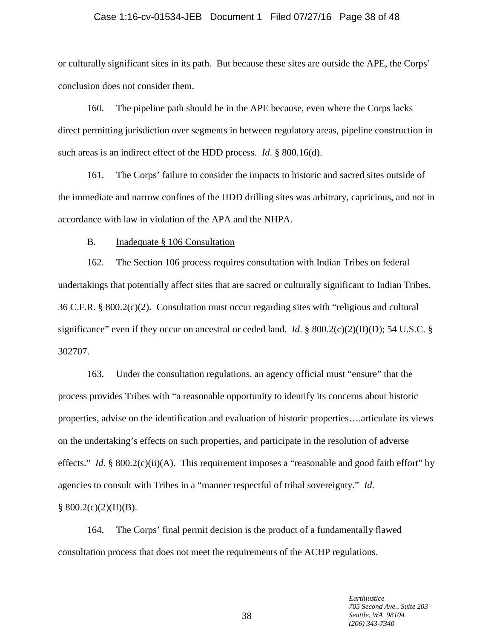#### Case 1:16-cv-01534-JEB Document 1 Filed 07/27/16 Page 38 of 48

or culturally significant sites in its path. But because these sites are outside the APE, the Corps' conclusion does not consider them.

160. The pipeline path should be in the APE because, even where the Corps lacks direct permitting jurisdiction over segments in between regulatory areas, pipeline construction in such areas is an indirect effect of the HDD process. *Id*. § 800.16(d).

161. The Corps' failure to consider the impacts to historic and sacred sites outside of the immediate and narrow confines of the HDD drilling sites was arbitrary, capricious, and not in accordance with law in violation of the APA and the NHPA.

B. Inadequate § 106 Consultation

162. The Section 106 process requires consultation with Indian Tribes on federal undertakings that potentially affect sites that are sacred or culturally significant to Indian Tribes. 36 C.F.R. § 800.2(c)(2). Consultation must occur regarding sites with "religious and cultural significance" even if they occur on ancestral or ceded land. *Id*. § 800.2(c)(2)(II)(D); 54 U.S.C. § 302707.

163. Under the consultation regulations, an agency official must "ensure" that the process provides Tribes with "a reasonable opportunity to identify its concerns about historic properties, advise on the identification and evaluation of historic properties….articulate its views on the undertaking's effects on such properties, and participate in the resolution of adverse effects." *Id.* § 800.2(c)(ii)(A). This requirement imposes a "reasonable and good faith effort" by agencies to consult with Tribes in a "manner respectful of tribal sovereignty." *Id*.  $§ 800.2(c)(2)(II)(B).$ 

164. The Corps' final permit decision is the product of a fundamentally flawed consultation process that does not meet the requirements of the ACHP regulations.

> *Earthjustice 705 Second Ave., Suite 203 Seattle, WA 98104 (206) 343-7340*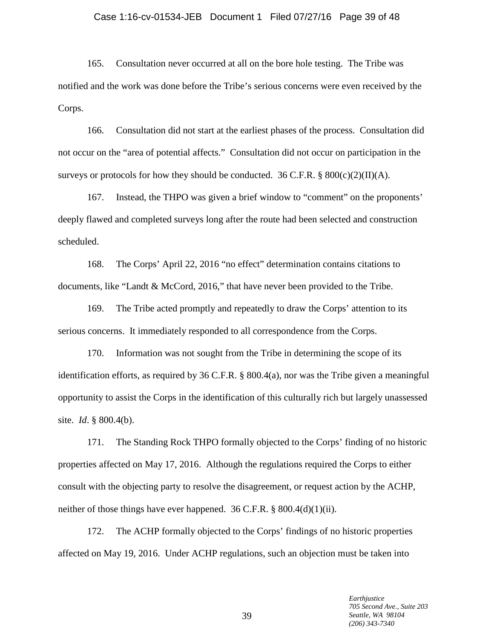#### Case 1:16-cv-01534-JEB Document 1 Filed 07/27/16 Page 39 of 48

165. Consultation never occurred at all on the bore hole testing. The Tribe was notified and the work was done before the Tribe's serious concerns were even received by the Corps.

166. Consultation did not start at the earliest phases of the process. Consultation did not occur on the "area of potential affects." Consultation did not occur on participation in the surveys or protocols for how they should be conducted. 36 C.F.R. §  $800(c)(2)(II)(A)$ .

167. Instead, the THPO was given a brief window to "comment" on the proponents' deeply flawed and completed surveys long after the route had been selected and construction scheduled.

168. The Corps' April 22, 2016 "no effect" determination contains citations to documents, like "Landt & McCord, 2016," that have never been provided to the Tribe.

169. The Tribe acted promptly and repeatedly to draw the Corps' attention to its serious concerns. It immediately responded to all correspondence from the Corps.

170. Information was not sought from the Tribe in determining the scope of its identification efforts, as required by 36 C.F.R. § 800.4(a), nor was the Tribe given a meaningful opportunity to assist the Corps in the identification of this culturally rich but largely unassessed site. *Id*. § 800.4(b).

171. The Standing Rock THPO formally objected to the Corps' finding of no historic properties affected on May 17, 2016. Although the regulations required the Corps to either consult with the objecting party to resolve the disagreement, or request action by the ACHP, neither of those things have ever happened. 36 C.F.R. § 800.4(d)(1)(ii).

172. The ACHP formally objected to the Corps' findings of no historic properties affected on May 19, 2016. Under ACHP regulations, such an objection must be taken into

> *Earthjustice 705 Second Ave., Suite 203 Seattle, WA 98104 (206) 343-7340*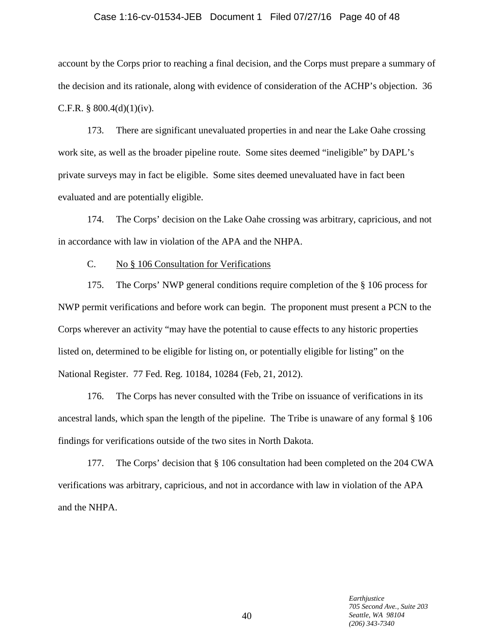# Case 1:16-cv-01534-JEB Document 1 Filed 07/27/16 Page 40 of 48

account by the Corps prior to reaching a final decision, and the Corps must prepare a summary of the decision and its rationale, along with evidence of consideration of the ACHP's objection. 36 C.F.R.  $§$  800.4(d)(1)(iv).

173. There are significant unevaluated properties in and near the Lake Oahe crossing work site, as well as the broader pipeline route. Some sites deemed "ineligible" by DAPL's private surveys may in fact be eligible. Some sites deemed unevaluated have in fact been evaluated and are potentially eligible.

174. The Corps' decision on the Lake Oahe crossing was arbitrary, capricious, and not in accordance with law in violation of the APA and the NHPA.

# C. No § 106 Consultation for Verifications

175. The Corps' NWP general conditions require completion of the § 106 process for NWP permit verifications and before work can begin. The proponent must present a PCN to the Corps wherever an activity "may have the potential to cause effects to any historic properties listed on, determined to be eligible for listing on, or potentially eligible for listing" on the National Register. 77 Fed. Reg. 10184, 10284 (Feb, 21, 2012).

176. The Corps has never consulted with the Tribe on issuance of verifications in its ancestral lands, which span the length of the pipeline. The Tribe is unaware of any formal § 106 findings for verifications outside of the two sites in North Dakota.

177. The Corps' decision that § 106 consultation had been completed on the 204 CWA verifications was arbitrary, capricious, and not in accordance with law in violation of the APA and the NHPA.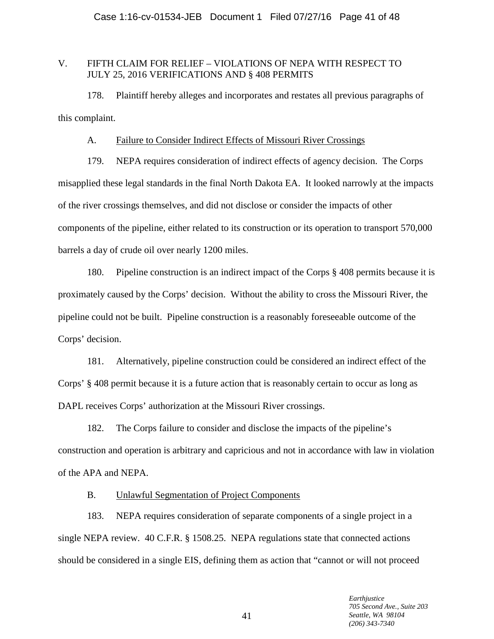# V. FIFTH CLAIM FOR RELIEF – VIOLATIONS OF NEPA WITH RESPECT TO JULY 25, 2016 VERIFICATIONS AND § 408 PERMITS

178. Plaintiff hereby alleges and incorporates and restates all previous paragraphs of this complaint.

# A. Failure to Consider Indirect Effects of Missouri River Crossings

179. NEPA requires consideration of indirect effects of agency decision. The Corps misapplied these legal standards in the final North Dakota EA. It looked narrowly at the impacts of the river crossings themselves, and did not disclose or consider the impacts of other components of the pipeline, either related to its construction or its operation to transport 570,000 barrels a day of crude oil over nearly 1200 miles.

180. Pipeline construction is an indirect impact of the Corps § 408 permits because it is proximately caused by the Corps' decision. Without the ability to cross the Missouri River, the pipeline could not be built. Pipeline construction is a reasonably foreseeable outcome of the Corps' decision.

181. Alternatively, pipeline construction could be considered an indirect effect of the Corps' § 408 permit because it is a future action that is reasonably certain to occur as long as DAPL receives Corps' authorization at the Missouri River crossings.

182. The Corps failure to consider and disclose the impacts of the pipeline's construction and operation is arbitrary and capricious and not in accordance with law in violation of the APA and NEPA.

# B. Unlawful Segmentation of Project Components

183. NEPA requires consideration of separate components of a single project in a single NEPA review. 40 C.F.R. § 1508.25. NEPA regulations state that connected actions should be considered in a single EIS, defining them as action that "cannot or will not proceed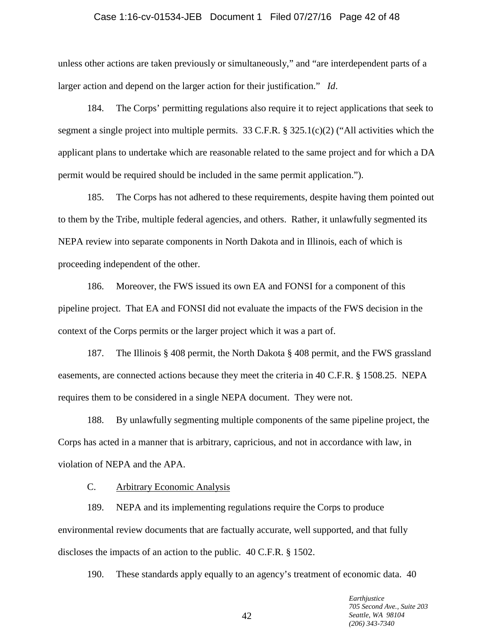# Case 1:16-cv-01534-JEB Document 1 Filed 07/27/16 Page 42 of 48

unless other actions are taken previously or simultaneously," and "are interdependent parts of a larger action and depend on the larger action for their justification." *Id*.

184. The Corps' permitting regulations also require it to reject applications that seek to segment a single project into multiple permits. 33 C.F.R. § 325.1(c)(2) ("All activities which the applicant plans to undertake which are reasonable related to the same project and for which a DA permit would be required should be included in the same permit application.").

185. The Corps has not adhered to these requirements, despite having them pointed out to them by the Tribe, multiple federal agencies, and others. Rather, it unlawfully segmented its NEPA review into separate components in North Dakota and in Illinois, each of which is proceeding independent of the other.

186. Moreover, the FWS issued its own EA and FONSI for a component of this pipeline project. That EA and FONSI did not evaluate the impacts of the FWS decision in the context of the Corps permits or the larger project which it was a part of.

187. The Illinois § 408 permit, the North Dakota § 408 permit, and the FWS grassland easements, are connected actions because they meet the criteria in 40 C.F.R. § 1508.25. NEPA requires them to be considered in a single NEPA document. They were not.

188. By unlawfully segmenting multiple components of the same pipeline project, the Corps has acted in a manner that is arbitrary, capricious, and not in accordance with law, in violation of NEPA and the APA.

C. Arbitrary Economic Analysis

189. NEPA and its implementing regulations require the Corps to produce environmental review documents that are factually accurate, well supported, and that fully discloses the impacts of an action to the public. 40 C.F.R. § 1502.

190. These standards apply equally to an agency's treatment of economic data. 40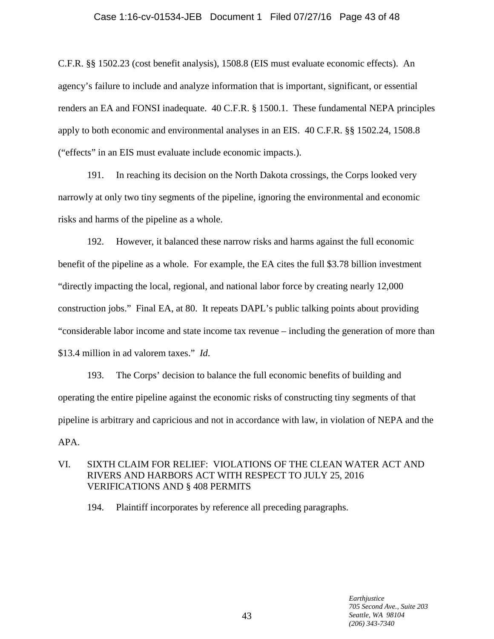# Case 1:16-cv-01534-JEB Document 1 Filed 07/27/16 Page 43 of 48

C.F.R. §§ 1502.23 (cost benefit analysis), 1508.8 (EIS must evaluate economic effects). An agency's failure to include and analyze information that is important, significant, or essential renders an EA and FONSI inadequate. 40 C.F.R. § 1500.1. These fundamental NEPA principles apply to both economic and environmental analyses in an EIS. 40 C.F.R. §§ 1502.24, 1508.8 ("effects" in an EIS must evaluate include economic impacts.).

191. In reaching its decision on the North Dakota crossings, the Corps looked very narrowly at only two tiny segments of the pipeline, ignoring the environmental and economic risks and harms of the pipeline as a whole.

192. However, it balanced these narrow risks and harms against the full economic benefit of the pipeline as a whole. For example, the EA cites the full \$3.78 billion investment "directly impacting the local, regional, and national labor force by creating nearly 12,000 construction jobs." Final EA, at 80. It repeats DAPL's public talking points about providing "considerable labor income and state income tax revenue – including the generation of more than \$13.4 million in ad valorem taxes." *Id*.

193. The Corps' decision to balance the full economic benefits of building and operating the entire pipeline against the economic risks of constructing tiny segments of that pipeline is arbitrary and capricious and not in accordance with law, in violation of NEPA and the APA.

# VI. SIXTH CLAIM FOR RELIEF: VIOLATIONS OF THE CLEAN WATER ACT AND RIVERS AND HARBORS ACT WITH RESPECT TO JULY 25, 2016 VERIFICATIONS AND § 408 PERMITS

194. Plaintiff incorporates by reference all preceding paragraphs.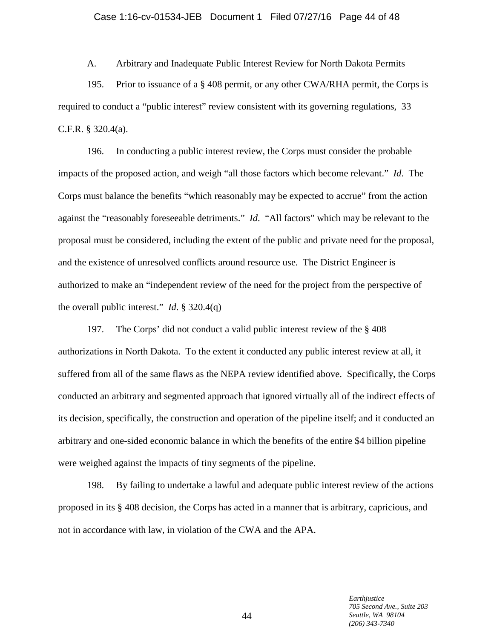# A. Arbitrary and Inadequate Public Interest Review for North Dakota Permits

195. Prior to issuance of a § 408 permit, or any other CWA/RHA permit, the Corps is required to conduct a "public interest" review consistent with its governing regulations, 33 C.F.R. § 320.4(a).

196. In conducting a public interest review, the Corps must consider the probable impacts of the proposed action, and weigh "all those factors which become relevant." *Id*. The Corps must balance the benefits "which reasonably may be expected to accrue" from the action against the "reasonably foreseeable detriments." *Id*. "All factors" which may be relevant to the proposal must be considered, including the extent of the public and private need for the proposal, and the existence of unresolved conflicts around resource use*.* The District Engineer is authorized to make an "independent review of the need for the project from the perspective of the overall public interest." *Id*. § 320.4(q)

197. The Corps' did not conduct a valid public interest review of the § 408 authorizations in North Dakota. To the extent it conducted any public interest review at all, it suffered from all of the same flaws as the NEPA review identified above. Specifically, the Corps conducted an arbitrary and segmented approach that ignored virtually all of the indirect effects of its decision, specifically, the construction and operation of the pipeline itself; and it conducted an arbitrary and one-sided economic balance in which the benefits of the entire \$4 billion pipeline were weighed against the impacts of tiny segments of the pipeline.

198. By failing to undertake a lawful and adequate public interest review of the actions proposed in its § 408 decision, the Corps has acted in a manner that is arbitrary, capricious, and not in accordance with law, in violation of the CWA and the APA.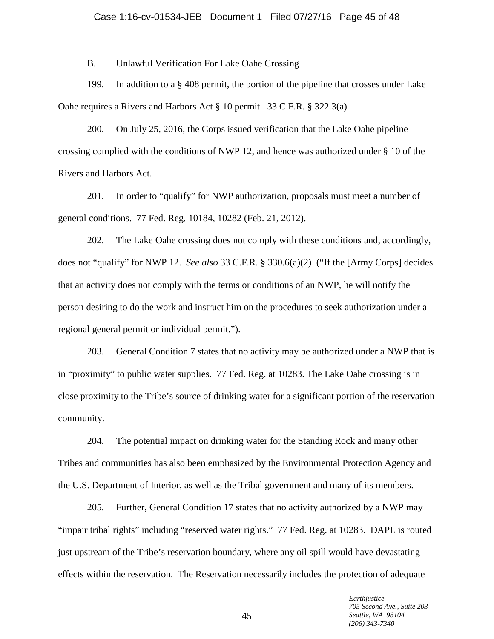# B. Unlawful Verification For Lake Oahe Crossing

199. In addition to a  $\S$  408 permit, the portion of the pipeline that crosses under Lake Oahe requires a Rivers and Harbors Act § 10 permit. 33 C.F.R. § 322.3(a)

200. On July 25, 2016, the Corps issued verification that the Lake Oahe pipeline crossing complied with the conditions of NWP 12, and hence was authorized under § 10 of the Rivers and Harbors Act.

201. In order to "qualify" for NWP authorization, proposals must meet a number of general conditions. 77 Fed. Reg. 10184, 10282 (Feb. 21, 2012).

202. The Lake Oahe crossing does not comply with these conditions and, accordingly, does not "qualify" for NWP 12. *See also* 33 C.F.R. § 330.6(a)(2) ("If the [Army Corps] decides that an activity does not comply with the terms or conditions of an NWP, he will notify the person desiring to do the work and instruct him on the procedures to seek authorization under a regional general permit or individual permit.").

203. General Condition 7 states that no activity may be authorized under a NWP that is in "proximity" to public water supplies. 77 Fed. Reg. at 10283. The Lake Oahe crossing is in close proximity to the Tribe's source of drinking water for a significant portion of the reservation community.

204. The potential impact on drinking water for the Standing Rock and many other Tribes and communities has also been emphasized by the Environmental Protection Agency and the U.S. Department of Interior, as well as the Tribal government and many of its members.

205. Further, General Condition 17 states that no activity authorized by a NWP may "impair tribal rights" including "reserved water rights." 77 Fed. Reg. at 10283. DAPL is routed just upstream of the Tribe's reservation boundary, where any oil spill would have devastating effects within the reservation. The Reservation necessarily includes the protection of adequate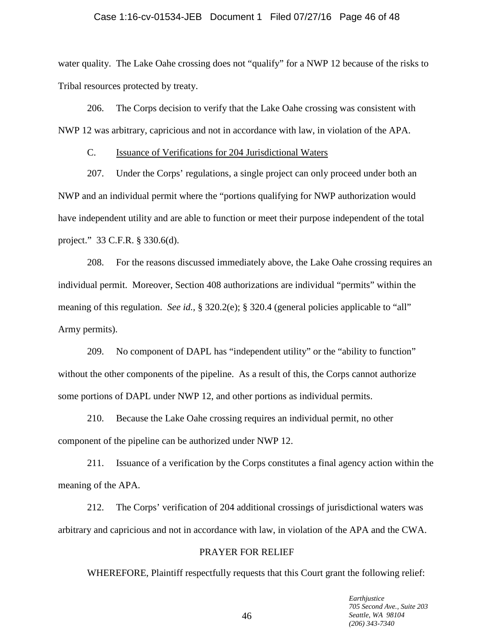# Case 1:16-cv-01534-JEB Document 1 Filed 07/27/16 Page 46 of 48

water quality. The Lake Oahe crossing does not "qualify" for a NWP 12 because of the risks to Tribal resources protected by treaty.

206. The Corps decision to verify that the Lake Oahe crossing was consistent with NWP 12 was arbitrary, capricious and not in accordance with law, in violation of the APA.

C. Issuance of Verifications for 204 Jurisdictional Waters

207. Under the Corps' regulations, a single project can only proceed under both an NWP and an individual permit where the "portions qualifying for NWP authorization would have independent utility and are able to function or meet their purpose independent of the total project." 33 C.F.R. § 330.6(d).

208. For the reasons discussed immediately above, the Lake Oahe crossing requires an individual permit. Moreover, Section 408 authorizations are individual "permits" within the meaning of this regulation. *See id.*, § 320.2(e); § 320.4 (general policies applicable to "all" Army permits).

209. No component of DAPL has "independent utility" or the "ability to function" without the other components of the pipeline. As a result of this, the Corps cannot authorize some portions of DAPL under NWP 12, and other portions as individual permits.

210. Because the Lake Oahe crossing requires an individual permit, no other component of the pipeline can be authorized under NWP 12.

211. Issuance of a verification by the Corps constitutes a final agency action within the meaning of the APA.

212. The Corps' verification of 204 additional crossings of jurisdictional waters was arbitrary and capricious and not in accordance with law, in violation of the APA and the CWA.

#### PRAYER FOR RELIEF

WHEREFORE, Plaintiff respectfully requests that this Court grant the following relief: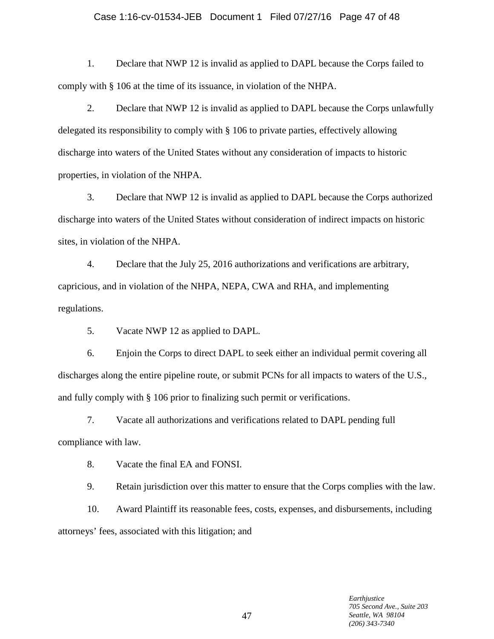#### Case 1:16-cv-01534-JEB Document 1 Filed 07/27/16 Page 47 of 48

1. Declare that NWP 12 is invalid as applied to DAPL because the Corps failed to comply with § 106 at the time of its issuance, in violation of the NHPA.

2. Declare that NWP 12 is invalid as applied to DAPL because the Corps unlawfully delegated its responsibility to comply with § 106 to private parties, effectively allowing discharge into waters of the United States without any consideration of impacts to historic properties, in violation of the NHPA.

3. Declare that NWP 12 is invalid as applied to DAPL because the Corps authorized discharge into waters of the United States without consideration of indirect impacts on historic sites, in violation of the NHPA.

4. Declare that the July 25, 2016 authorizations and verifications are arbitrary, capricious, and in violation of the NHPA, NEPA, CWA and RHA, and implementing regulations.

5. Vacate NWP 12 as applied to DAPL.

6. Enjoin the Corps to direct DAPL to seek either an individual permit covering all discharges along the entire pipeline route, or submit PCNs for all impacts to waters of the U.S., and fully comply with § 106 prior to finalizing such permit or verifications.

7. Vacate all authorizations and verifications related to DAPL pending full compliance with law.

8. Vacate the final EA and FONSI.

9. Retain jurisdiction over this matter to ensure that the Corps complies with the law.

10. Award Plaintiff its reasonable fees, costs, expenses, and disbursements, including attorneys' fees, associated with this litigation; and

> *Earthjustice 705 Second Ave., Suite 203 Seattle, WA 98104 (206) 343-7340*